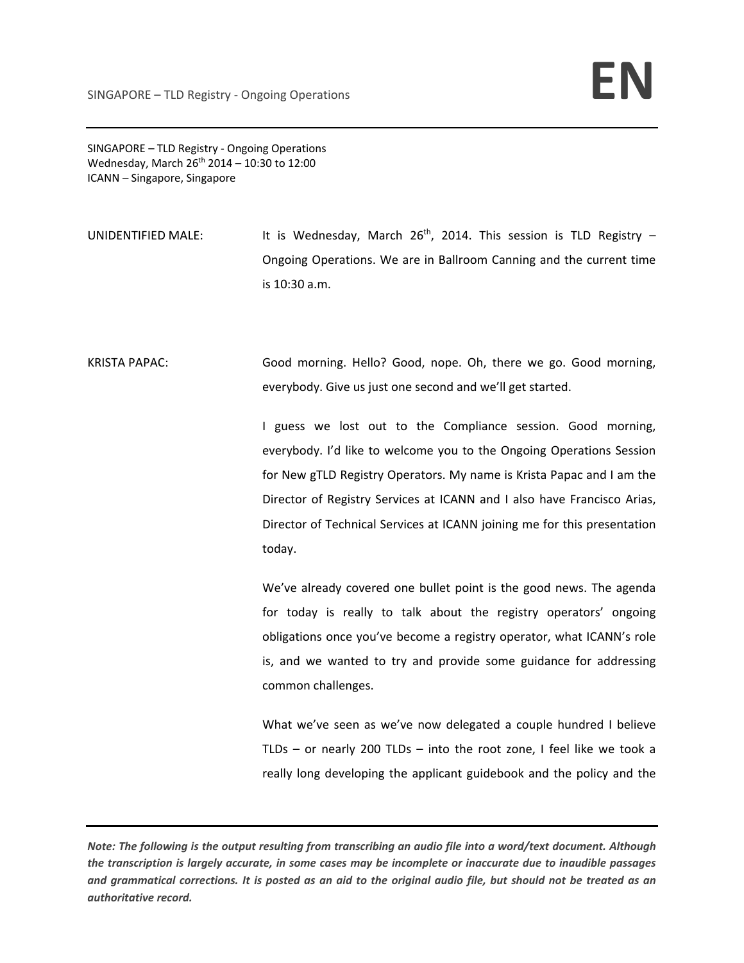SINGAPORE – TLD Registry ‐ Ongoing Operations Wednesday, March  $26^{th}$  2014 – 10:30 to 12:00 ICANN – Singapore, Singapore

- UNIDENTIFIED MALE: It is Wednesday, March  $26<sup>th</sup>$ , 2014. This session is TLD Registry Ongoing Operations. We are in Ballroom Canning and the current time is 10:30 a.m.
- KRISTA PAPAC: Good morning. Hello? Good, nope. Oh, there we go. Good morning, everybody. Give us just one second and we'll get started.

I guess we lost out to the Compliance session. Good morning, everybody. I'd like to welcome you to the Ongoing Operations Session for New gTLD Registry Operators. My name is Krista Papac and I am the Director of Registry Services at ICANN and I also have Francisco Arias, Director of Technical Services at ICANN joining me for this presentation today.

We've already covered one bullet point is the good news. The agenda for today is really to talk about the registry operators' ongoing obligations once you've become a registry operator, what ICANN's role is, and we wanted to try and provide some guidance for addressing common challenges.

What we've seen as we've now delegated a couple hundred I believe TLDs – or nearly 200 TLDs – into the root zone, I feel like we took a really long developing the applicant guidebook and the policy and the

Note: The following is the output resulting from transcribing an audio file into a word/text document. Although the transcription is largely accurate, in some cases may be incomplete or inaccurate due to inaudible passages and grammatical corrections. It is posted as an aid to the original audio file, but should not be treated as an *authoritative record.*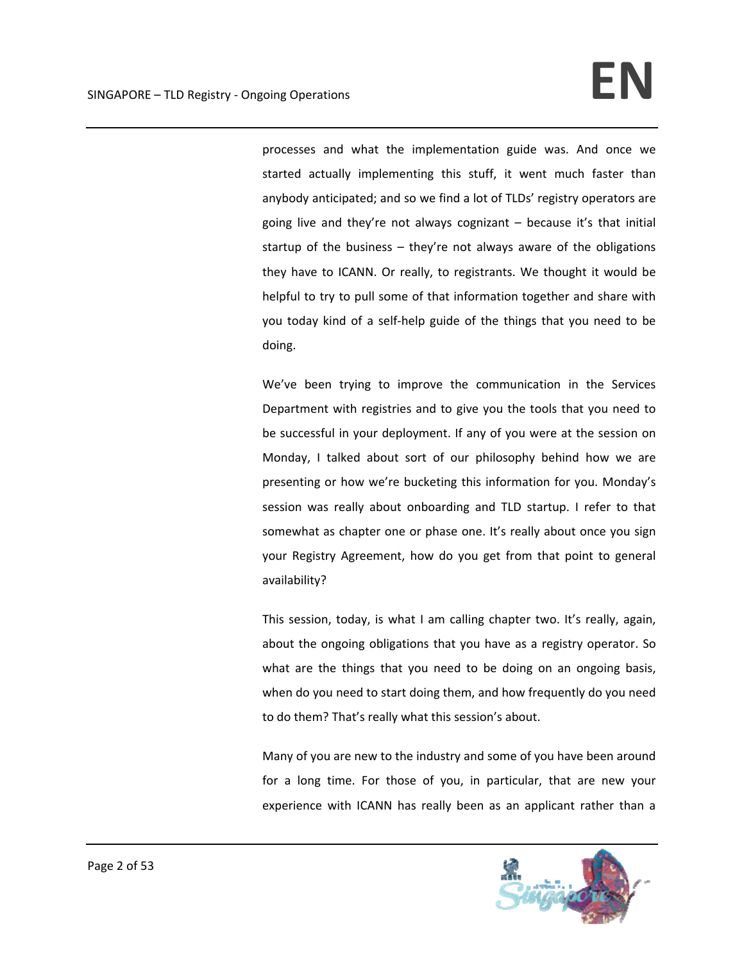processes and what the implementation guide was. And once we started actually implementing this stuff, it went much faster than anybody anticipated; and so we find a lot of TLDs' registry operators are going live and they're not always cognizant – because it's that initial startup of the business – they're not always aware of the obligations they have to ICANN. Or really, to registrants. We thought it would be helpful to try to pull some of that information together and share with you today kind of a self‐help guide of the things that you need to be doing.

We've been trying to improve the communication in the Services Department with registries and to give you the tools that you need to be successful in your deployment. If any of you were at the session on Monday, I talked about sort of our philosophy behind how we are presenting or how we're bucketing this information for you. Monday's session was really about onboarding and TLD startup. I refer to that somewhat as chapter one or phase one. It's really about once you sign your Registry Agreement, how do you get from that point to general availability?

This session, today, is what I am calling chapter two. It's really, again, about the ongoing obligations that you have as a registry operator. So what are the things that you need to be doing on an ongoing basis, when do you need to start doing them, and how frequently do you need to do them? That's really what this session's about.

Many of you are new to the industry and some of you have been around for a long time. For those of you, in particular, that are new your experience with ICANN has really been as an applicant rather than a

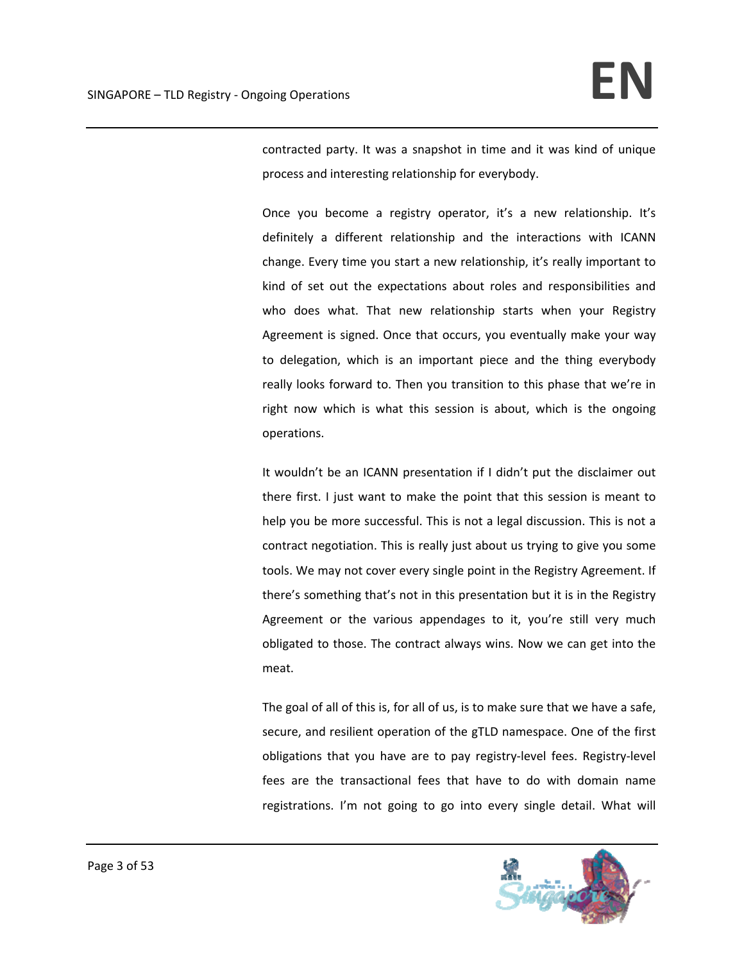contracted party. It was a snapshot in time and it was kind of unique process and interesting relationship for everybody.

Once you become a registry operator, it's a new relationship. It's definitely a different relationship and the interactions with ICANN change. Every time you start a new relationship, it's really important to kind of set out the expectations about roles and responsibilities and who does what. That new relationship starts when your Registry Agreement is signed. Once that occurs, you eventually make your way to delegation, which is an important piece and the thing everybody really looks forward to. Then you transition to this phase that we're in right now which is what this session is about, which is the ongoing operations.

It wouldn't be an ICANN presentation if I didn't put the disclaimer out there first. I just want to make the point that this session is meant to help you be more successful. This is not a legal discussion. This is not a contract negotiation. This is really just about us trying to give you some tools. We may not cover every single point in the Registry Agreement. If there's something that's not in this presentation but it is in the Registry Agreement or the various appendages to it, you're still very much obligated to those. The contract always wins. Now we can get into the meat.

The goal of all of this is, for all of us, is to make sure that we have a safe, secure, and resilient operation of the gTLD namespace. One of the first obligations that you have are to pay registry‐level fees. Registry‐level fees are the transactional fees that have to do with domain name registrations. I'm not going to go into every single detail. What will

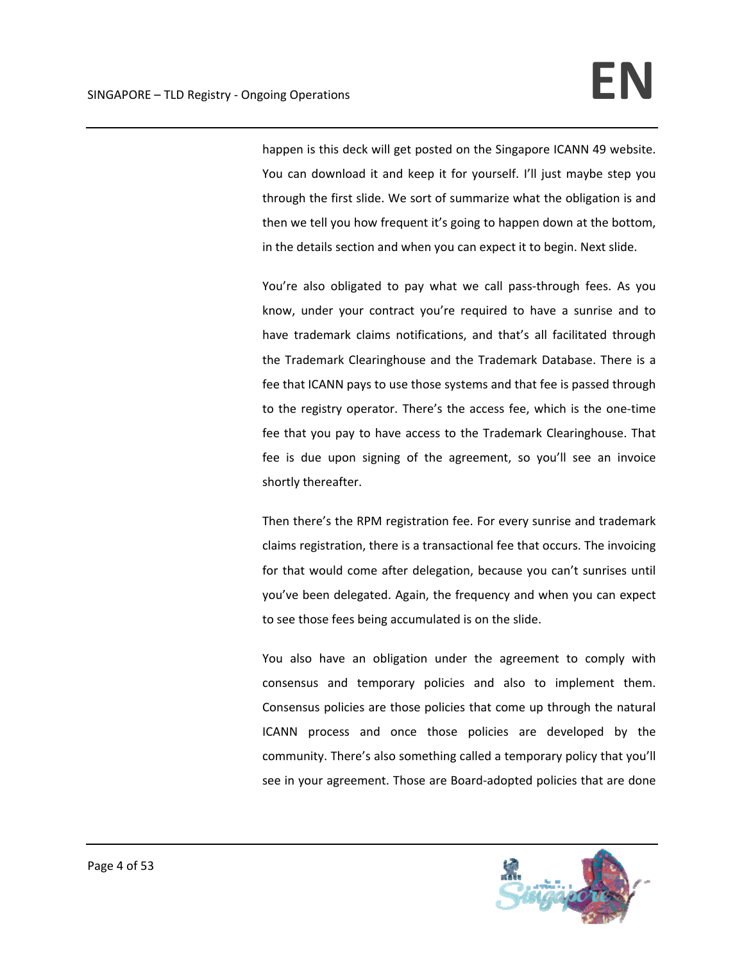happen is this deck will get posted on the Singapore ICANN 49 website. You can download it and keep it for yourself. I'll just maybe step you through the first slide. We sort of summarize what the obligation is and then we tell you how frequent it's going to happen down at the bottom, in the details section and when you can expect it to begin. Next slide.

You're also obligated to pay what we call pass-through fees. As you know, under your contract you're required to have a sunrise and to have trademark claims notifications, and that's all facilitated through the Trademark Clearinghouse and the Trademark Database. There is a fee that ICANN pays to use those systems and that fee is passed through to the registry operator. There's the access fee, which is the one-time fee that you pay to have access to the Trademark Clearinghouse. That fee is due upon signing of the agreement, so you'll see an invoice shortly thereafter.

Then there's the RPM registration fee. For every sunrise and trademark claims registration, there is a transactional fee that occurs. The invoicing for that would come after delegation, because you can't sunrises until you've been delegated. Again, the frequency and when you can expect to see those fees being accumulated is on the slide.

You also have an obligation under the agreement to comply with consensus and temporary policies and also to implement them. Consensus policies are those policies that come up through the natural ICANN process and once those policies are developed by the community. There's also something called a temporary policy that you'll see in your agreement. Those are Board‐adopted policies that are done

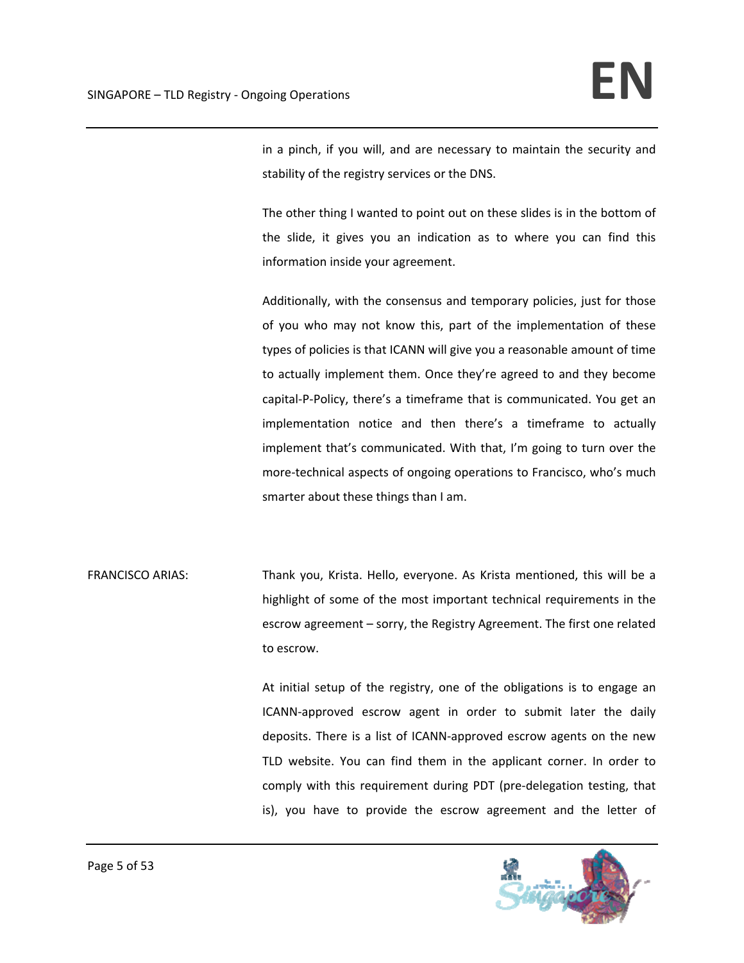in a pinch, if you will, and are necessary to maintain the security and stability of the registry services or the DNS.

The other thing I wanted to point out on these slides is in the bottom of the slide, it gives you an indication as to where you can find this information inside your agreement.

Additionally, with the consensus and temporary policies, just for those of you who may not know this, part of the implementation of these types of policies is that ICANN will give you a reasonable amount of time to actually implement them. Once they're agreed to and they become capital‐P‐Policy, there's a timeframe that is communicated. You get an implementation notice and then there's a timeframe to actually implement that's communicated. With that, I'm going to turn over the more‐technical aspects of ongoing operations to Francisco, who's much smarter about these things than I am.

FRANCISCO ARIAS: Thank you, Krista. Hello, everyone. As Krista mentioned, this will be a highlight of some of the most important technical requirements in the escrow agreement – sorry, the Registry Agreement. The first one related to escrow.

> At initial setup of the registry, one of the obligations is to engage an ICANN‐approved escrow agent in order to submit later the daily deposits. There is a list of ICANN‐approved escrow agents on the new TLD website. You can find them in the applicant corner. In order to comply with this requirement during PDT (pre‐delegation testing, that is), you have to provide the escrow agreement and the letter of

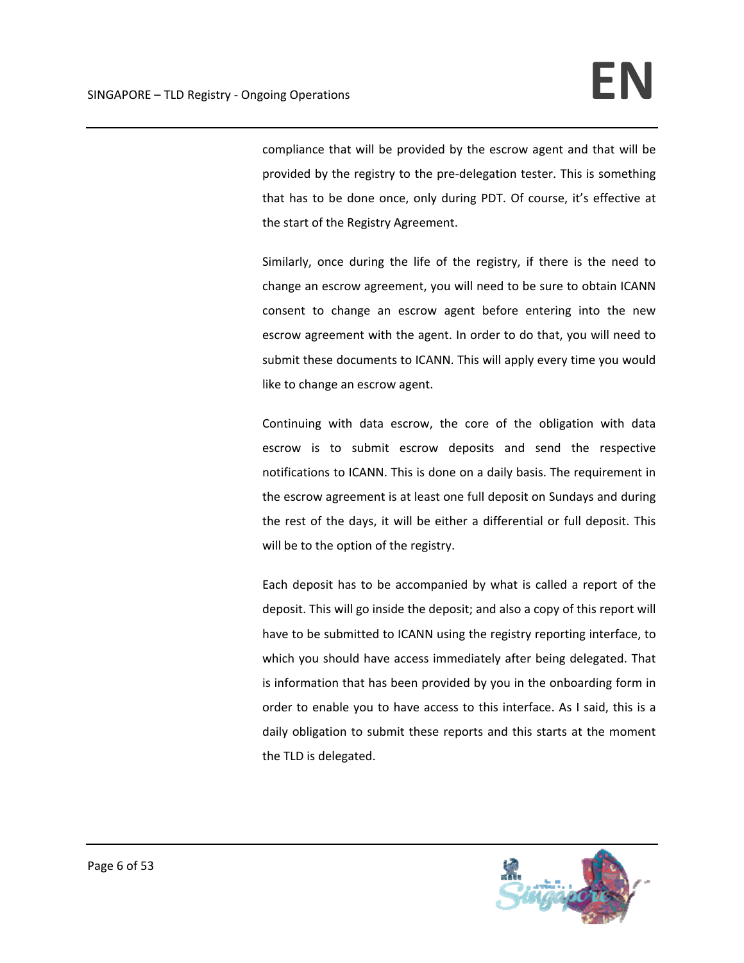compliance that will be provided by the escrow agent and that will be provided by the registry to the pre‐delegation tester. This is something that has to be done once, only during PDT. Of course, it's effective at the start of the Registry Agreement.

Similarly, once during the life of the registry, if there is the need to change an escrow agreement, you will need to be sure to obtain ICANN consent to change an escrow agent before entering into the new escrow agreement with the agent. In order to do that, you will need to submit these documents to ICANN. This will apply every time you would like to change an escrow agent.

Continuing with data escrow, the core of the obligation with data escrow is to submit escrow deposits and send the respective notifications to ICANN. This is done on a daily basis. The requirement in the escrow agreement is at least one full deposit on Sundays and during the rest of the days, it will be either a differential or full deposit. This will be to the option of the registry.

Each deposit has to be accompanied by what is called a report of the deposit. This will go inside the deposit; and also a copy of this report will have to be submitted to ICANN using the registry reporting interface, to which you should have access immediately after being delegated. That is information that has been provided by you in the onboarding form in order to enable you to have access to this interface. As I said, this is a daily obligation to submit these reports and this starts at the moment the TLD is delegated.

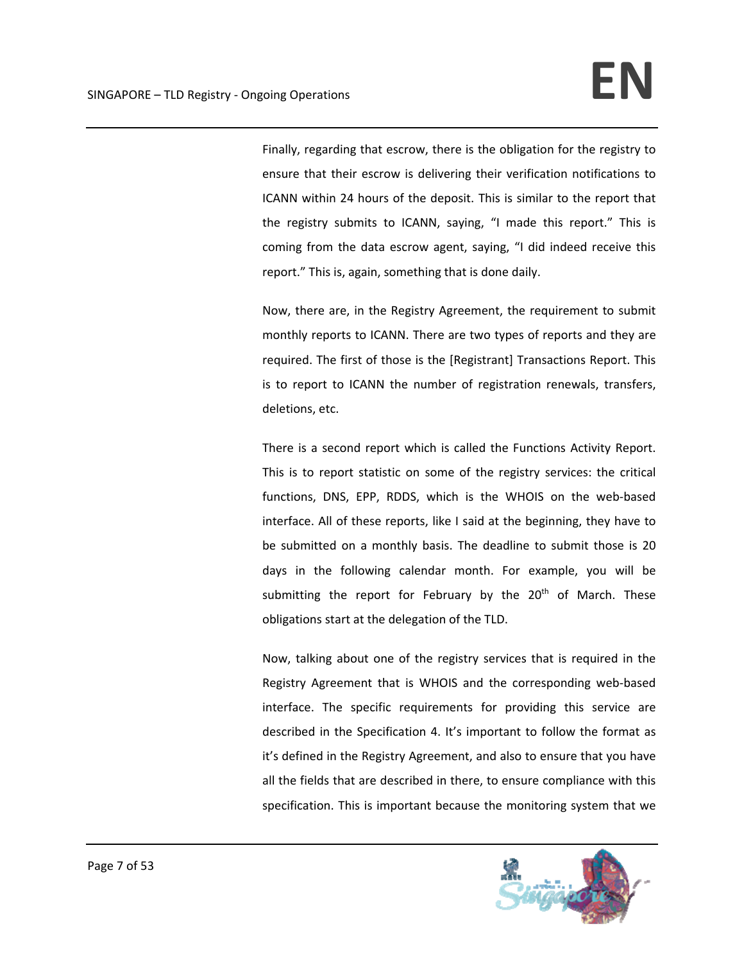Finally, regarding that escrow, there is the obligation for the registry to ensure that their escrow is delivering their verification notifications to ICANN within 24 hours of the deposit. This is similar to the report that the registry submits to ICANN, saying, "I made this report." This is coming from the data escrow agent, saying, "I did indeed receive this report." This is, again, something that is done daily.

Now, there are, in the Registry Agreement, the requirement to submit monthly reports to ICANN. There are two types of reports and they are required. The first of those is the [Registrant] Transactions Report. This is to report to ICANN the number of registration renewals, transfers, deletions, etc.

There is a second report which is called the Functions Activity Report. This is to report statistic on some of the registry services: the critical functions, DNS, EPP, RDDS, which is the WHOIS on the web‐based interface. All of these reports, like I said at the beginning, they have to be submitted on a monthly basis. The deadline to submit those is 20 days in the following calendar month. For example, you will be submitting the report for February by the  $20<sup>th</sup>$  of March. These obligations start at the delegation of the TLD.

Now, talking about one of the registry services that is required in the Registry Agreement that is WHOIS and the corresponding web‐based interface. The specific requirements for providing this service are described in the Specification 4. It's important to follow the format as it's defined in the Registry Agreement, and also to ensure that you have all the fields that are described in there, to ensure compliance with this specification. This is important because the monitoring system that we

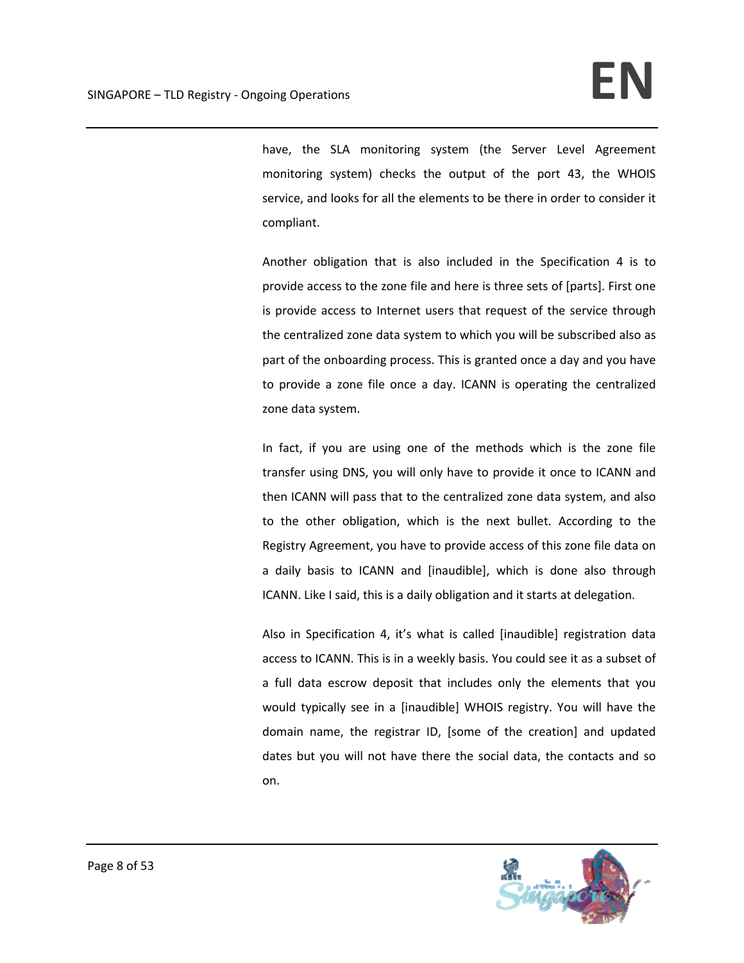have, the SLA monitoring system (the Server Level Agreement monitoring system) checks the output of the port 43, the WHOIS service, and looks for all the elements to be there in order to consider it compliant.

Another obligation that is also included in the Specification 4 is to provide access to the zone file and here is three sets of [parts]. First one is provide access to Internet users that request of the service through the centralized zone data system to which you will be subscribed also as part of the onboarding process. This is granted once a day and you have to provide a zone file once a day. ICANN is operating the centralized zone data system.

In fact, if you are using one of the methods which is the zone file transfer using DNS, you will only have to provide it once to ICANN and then ICANN will pass that to the centralized zone data system, and also to the other obligation, which is the next bullet. According to the Registry Agreement, you have to provide access of this zone file data on a daily basis to ICANN and [inaudible], which is done also through ICANN. Like I said, this is a daily obligation and it starts at delegation.

Also in Specification 4, it's what is called [inaudible] registration data access to ICANN. This is in a weekly basis. You could see it as a subset of a full data escrow deposit that includes only the elements that you would typically see in a [inaudible] WHOIS registry. You will have the domain name, the registrar ID, [some of the creation] and updated dates but you will not have there the social data, the contacts and so on.

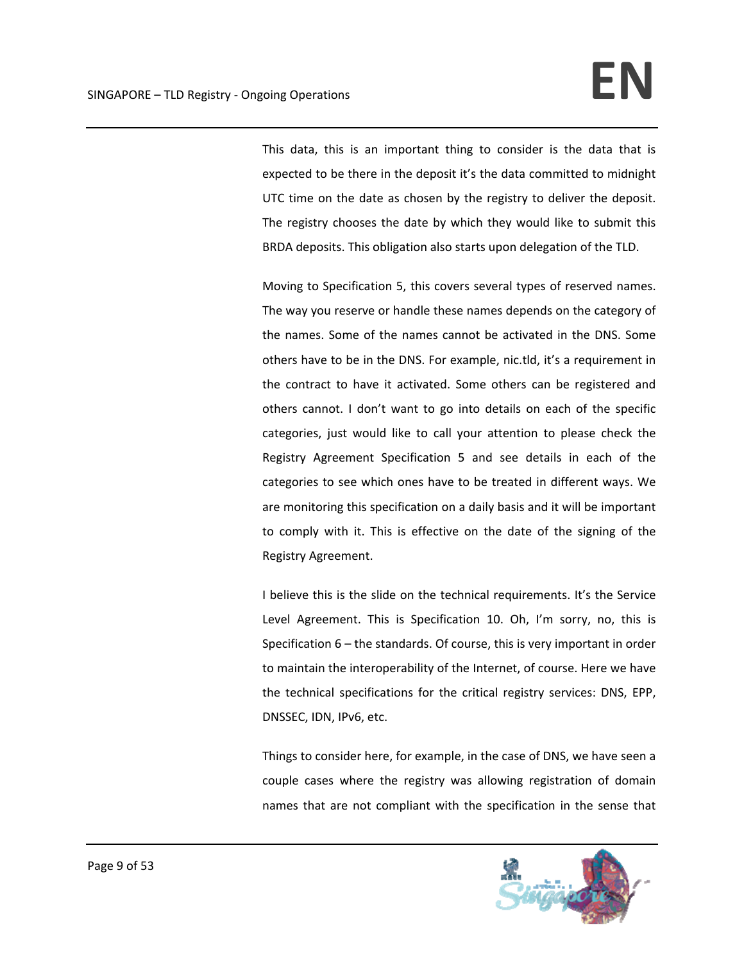This data, this is an important thing to consider is the data that is expected to be there in the deposit it's the data committed to midnight UTC time on the date as chosen by the registry to deliver the deposit. The registry chooses the date by which they would like to submit this BRDA deposits. This obligation also starts upon delegation of the TLD.

Moving to Specification 5, this covers several types of reserved names. The way you reserve or handle these names depends on the category of the names. Some of the names cannot be activated in the DNS. Some others have to be in the DNS. For example, nic.tld, it's a requirement in the contract to have it activated. Some others can be registered and others cannot. I don't want to go into details on each of the specific categories, just would like to call your attention to please check the Registry Agreement Specification 5 and see details in each of the categories to see which ones have to be treated in different ways. We are monitoring this specification on a daily basis and it will be important to comply with it. This is effective on the date of the signing of the Registry Agreement.

I believe this is the slide on the technical requirements. It's the Service Level Agreement. This is Specification 10. Oh, I'm sorry, no, this is Specification 6 – the standards. Of course, this is very important in order to maintain the interoperability of the Internet, of course. Here we have the technical specifications for the critical registry services: DNS, EPP, DNSSEC, IDN, IPv6, etc.

Things to consider here, for example, in the case of DNS, we have seen a couple cases where the registry was allowing registration of domain names that are not compliant with the specification in the sense that

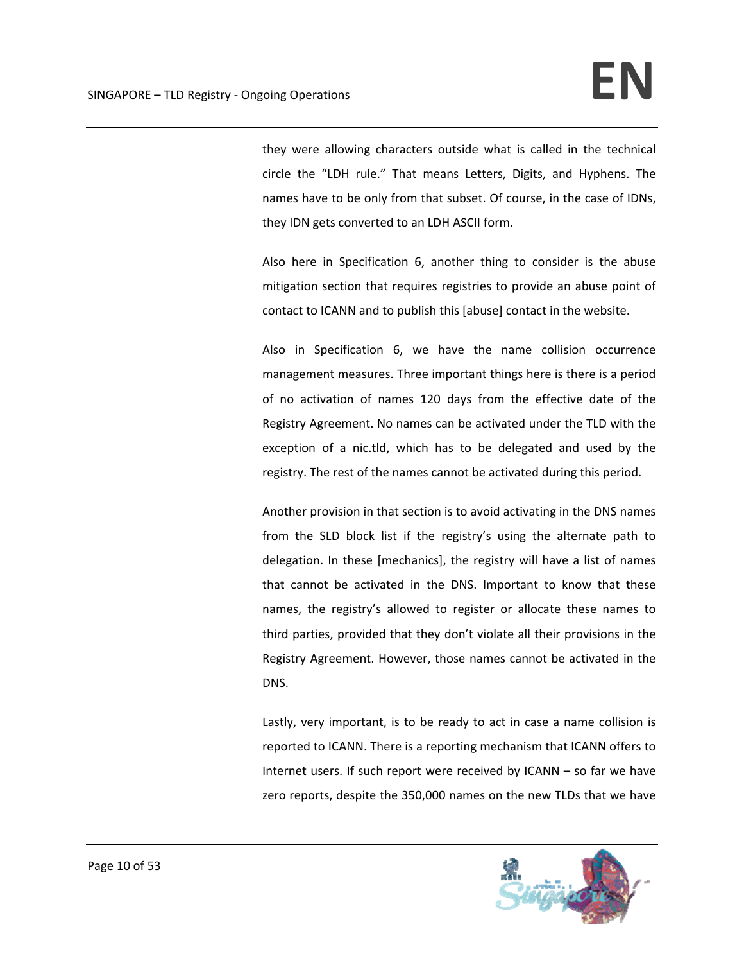they were allowing characters outside what is called in the technical circle the "LDH rule." That means Letters, Digits, and Hyphens. The names have to be only from that subset. Of course, in the case of IDNs, they IDN gets converted to an LDH ASCII form.

Also here in Specification 6, another thing to consider is the abuse mitigation section that requires registries to provide an abuse point of contact to ICANN and to publish this [abuse] contact in the website.

Also in Specification 6, we have the name collision occurrence management measures. Three important things here is there is a period of no activation of names 120 days from the effective date of the Registry Agreement. No names can be activated under the TLD with the exception of a nic.tld, which has to be delegated and used by the registry. The rest of the names cannot be activated during this period.

Another provision in that section is to avoid activating in the DNS names from the SLD block list if the registry's using the alternate path to delegation. In these [mechanics], the registry will have a list of names that cannot be activated in the DNS. Important to know that these names, the registry's allowed to register or allocate these names to third parties, provided that they don't violate all their provisions in the Registry Agreement. However, those names cannot be activated in the DNS.

Lastly, very important, is to be ready to act in case a name collision is reported to ICANN. There is a reporting mechanism that ICANN offers to Internet users. If such report were received by ICANN – so far we have zero reports, despite the 350,000 names on the new TLDs that we have

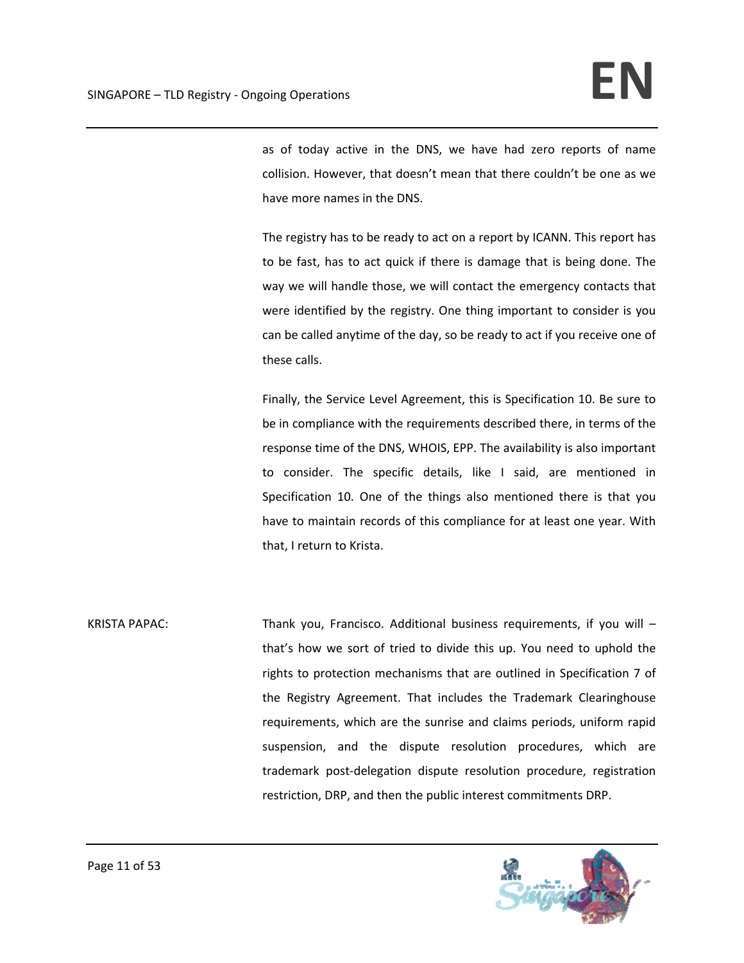as of today active in the DNS, we have had zero reports of name collision. However, that doesn't mean that there couldn't be one as we have more names in the DNS.

The registry has to be ready to act on a report by ICANN. This report has to be fast, has to act quick if there is damage that is being done. The way we will handle those, we will contact the emergency contacts that were identified by the registry. One thing important to consider is you can be called anytime of the day, so be ready to act if you receive one of these calls.

Finally, the Service Level Agreement, this is Specification 10. Be sure to be in compliance with the requirements described there, in terms of the response time of the DNS, WHOIS, EPP. The availability is also important to consider. The specific details, like I said, are mentioned in Specification 10. One of the things also mentioned there is that you have to maintain records of this compliance for at least one year. With that, I return to Krista.

KRISTA PAPAC: Thank you, Francisco. Additional business requirements, if you will – that's how we sort of tried to divide this up. You need to uphold the rights to protection mechanisms that are outlined in Specification 7 of the Registry Agreement. That includes the Trademark Clearinghouse requirements, which are the sunrise and claims periods, uniform rapid suspension, and the dispute resolution procedures, which are trademark post‐delegation dispute resolution procedure, registration restriction, DRP, and then the public interest commitments DRP.

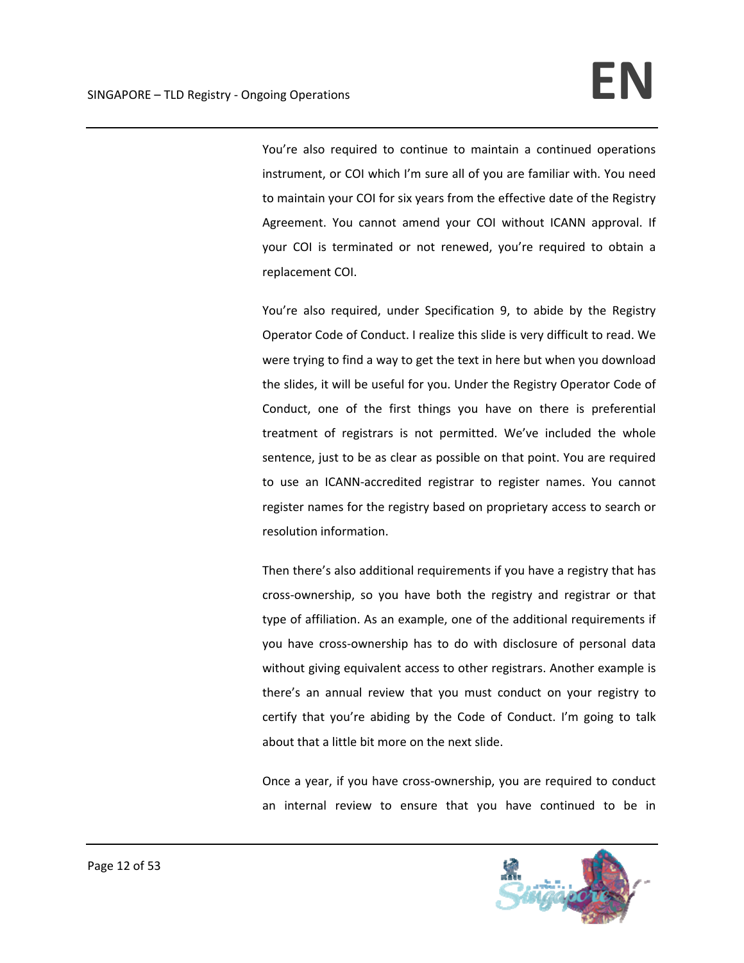You're also required to continue to maintain a continued operations instrument, or COI which I'm sure all of you are familiar with. You need to maintain your COI for six years from the effective date of the Registry Agreement. You cannot amend your COI without ICANN approval. If your COI is terminated or not renewed, you're required to obtain a replacement COI.

You're also required, under Specification 9, to abide by the Registry Operator Code of Conduct. I realize this slide is very difficult to read. We were trying to find a way to get the text in here but when you download the slides, it will be useful for you. Under the Registry Operator Code of Conduct, one of the first things you have on there is preferential treatment of registrars is not permitted. We've included the whole sentence, just to be as clear as possible on that point. You are required to use an ICANN‐accredited registrar to register names. You cannot register names for the registry based on proprietary access to search or resolution information.

Then there's also additional requirements if you have a registry that has cross‐ownership, so you have both the registry and registrar or that type of affiliation. As an example, one of the additional requirements if you have cross‐ownership has to do with disclosure of personal data without giving equivalent access to other registrars. Another example is there's an annual review that you must conduct on your registry to certify that you're abiding by the Code of Conduct. I'm going to talk about that a little bit more on the next slide.

Once a year, if you have cross‐ownership, you are required to conduct an internal review to ensure that you have continued to be in

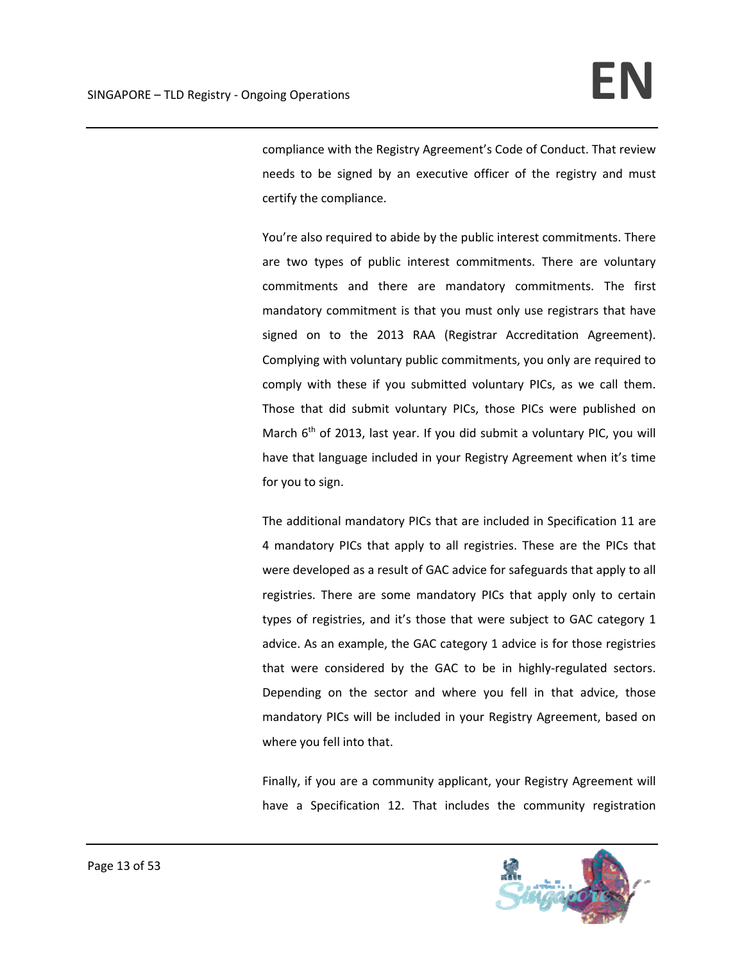compliance with the Registry Agreement's Code of Conduct. That review needs to be signed by an executive officer of the registry and must certify the compliance.

You're also required to abide by the public interest commitments. There are two types of public interest commitments. There are voluntary commitments and there are mandatory commitments. The first mandatory commitment is that you must only use registrars that have signed on to the 2013 RAA (Registrar Accreditation Agreement). Complying with voluntary public commitments, you only are required to comply with these if you submitted voluntary PICs, as we call them. Those that did submit voluntary PICs, those PICs were published on March  $6<sup>th</sup>$  of 2013, last year. If you did submit a voluntary PIC, you will have that language included in your Registry Agreement when it's time for you to sign.

The additional mandatory PICs that are included in Specification 11 are 4 mandatory PICs that apply to all registries. These are the PICs that were developed as a result of GAC advice for safeguards that apply to all registries. There are some mandatory PICs that apply only to certain types of registries, and it's those that were subject to GAC category 1 advice. As an example, the GAC category 1 advice is for those registries that were considered by the GAC to be in highly-regulated sectors. Depending on the sector and where you fell in that advice, those mandatory PICs will be included in your Registry Agreement, based on where you fell into that.

Finally, if you are a community applicant, your Registry Agreement will have a Specification 12. That includes the community registration

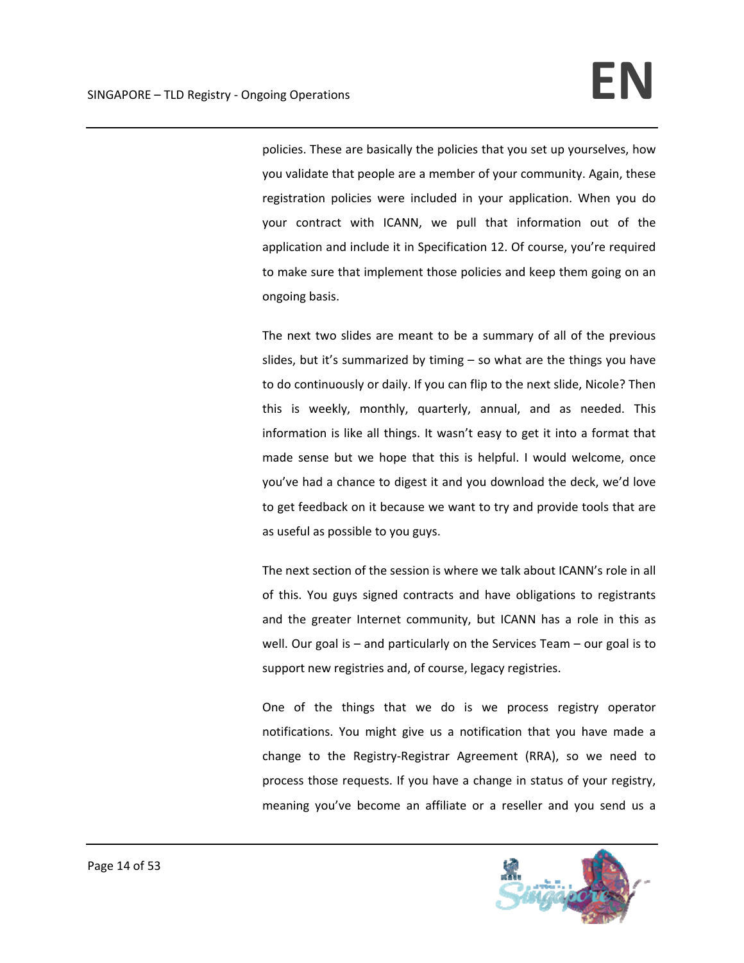policies. These are basically the policies that you set up yourselves, how you validate that people are a member of your community. Again, these registration policies were included in your application. When you do your contract with ICANN, we pull that information out of the application and include it in Specification 12. Of course, you're required to make sure that implement those policies and keep them going on an ongoing basis.

The next two slides are meant to be a summary of all of the previous slides, but it's summarized by timing – so what are the things you have to do continuously or daily. If you can flip to the next slide, Nicole? Then this is weekly, monthly, quarterly, annual, and as needed. This information is like all things. It wasn't easy to get it into a format that made sense but we hope that this is helpful. I would welcome, once you've had a chance to digest it and you download the deck, we'd love to get feedback on it because we want to try and provide tools that are as useful as possible to you guys.

The next section of the session is where we talk about ICANN's role in all of this. You guys signed contracts and have obligations to registrants and the greater Internet community, but ICANN has a role in this as well. Our goal is – and particularly on the Services Team – our goal is to support new registries and, of course, legacy registries.

One of the things that we do is we process registry operator notifications. You might give us a notification that you have made a change to the Registry‐Registrar Agreement (RRA), so we need to process those requests. If you have a change in status of your registry, meaning you've become an affiliate or a reseller and you send us a

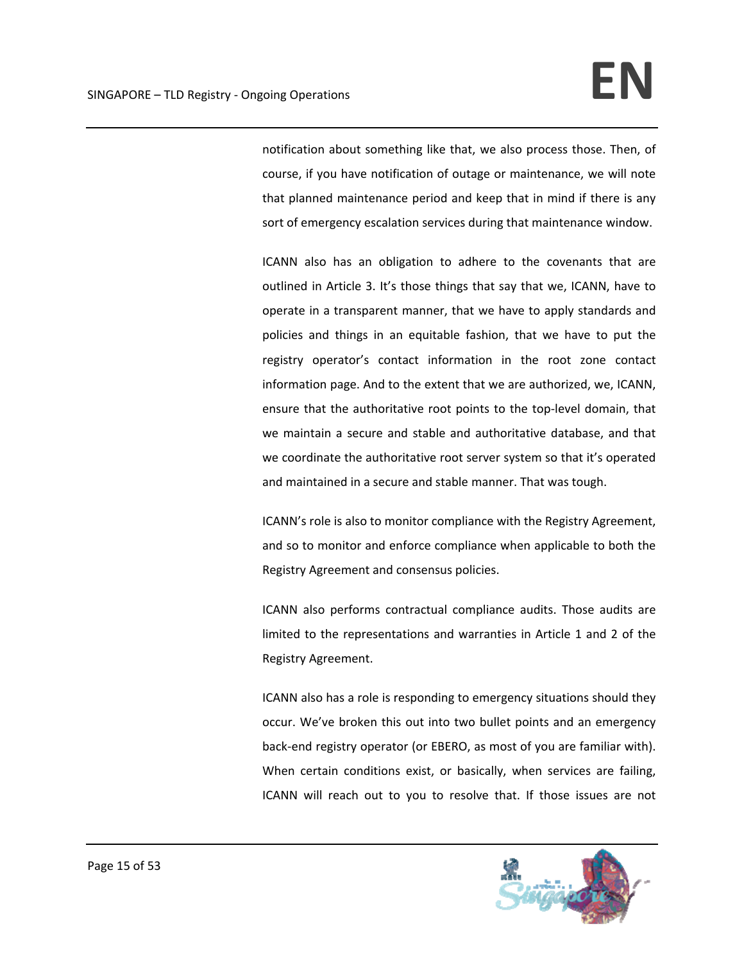notification about something like that, we also process those. Then, of course, if you have notification of outage or maintenance, we will note that planned maintenance period and keep that in mind if there is any sort of emergency escalation services during that maintenance window.

ICANN also has an obligation to adhere to the covenants that are outlined in Article 3. It's those things that say that we, ICANN, have to operate in a transparent manner, that we have to apply standards and policies and things in an equitable fashion, that we have to put the registry operator's contact information in the root zone contact information page. And to the extent that we are authorized, we, ICANN, ensure that the authoritative root points to the top‐level domain, that we maintain a secure and stable and authoritative database, and that we coordinate the authoritative root server system so that it's operated and maintained in a secure and stable manner. That was tough.

ICANN's role is also to monitor compliance with the Registry Agreement, and so to monitor and enforce compliance when applicable to both the Registry Agreement and consensus policies.

ICANN also performs contractual compliance audits. Those audits are limited to the representations and warranties in Article 1 and 2 of the Registry Agreement.

ICANN also has a role is responding to emergency situations should they occur. We've broken this out into two bullet points and an emergency back‐end registry operator (or EBERO, as most of you are familiar with). When certain conditions exist, or basically, when services are failing, ICANN will reach out to you to resolve that. If those issues are not

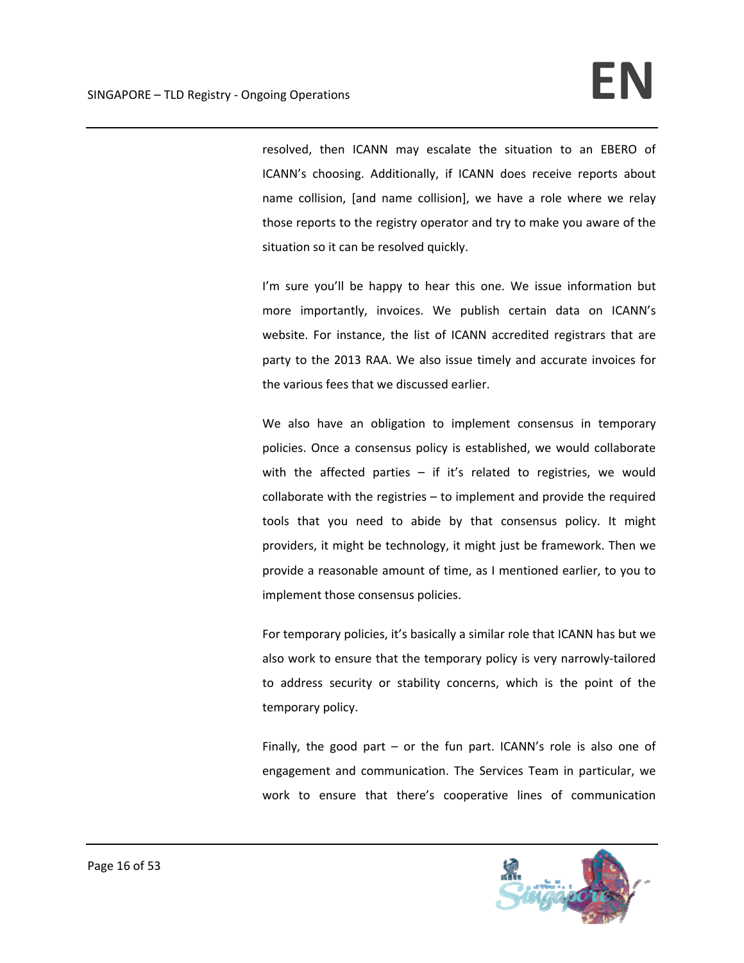resolved, then ICANN may escalate the situation to an EBERO of ICANN's choosing. Additionally, if ICANN does receive reports about name collision, [and name collision], we have a role where we relay those reports to the registry operator and try to make you aware of the situation so it can be resolved quickly.

I'm sure you'll be happy to hear this one. We issue information but more importantly, invoices. We publish certain data on ICANN's website. For instance, the list of ICANN accredited registrars that are party to the 2013 RAA. We also issue timely and accurate invoices for the various fees that we discussed earlier.

We also have an obligation to implement consensus in temporary policies. Once a consensus policy is established, we would collaborate with the affected parties  $-$  if it's related to registries, we would collaborate with the registries – to implement and provide the required tools that you need to abide by that consensus policy. It might providers, it might be technology, it might just be framework. Then we provide a reasonable amount of time, as I mentioned earlier, to you to implement those consensus policies.

For temporary policies, it's basically a similar role that ICANN has but we also work to ensure that the temporary policy is very narrowly‐tailored to address security or stability concerns, which is the point of the temporary policy.

Finally, the good part – or the fun part. ICANN's role is also one of engagement and communication. The Services Team in particular, we work to ensure that there's cooperative lines of communication

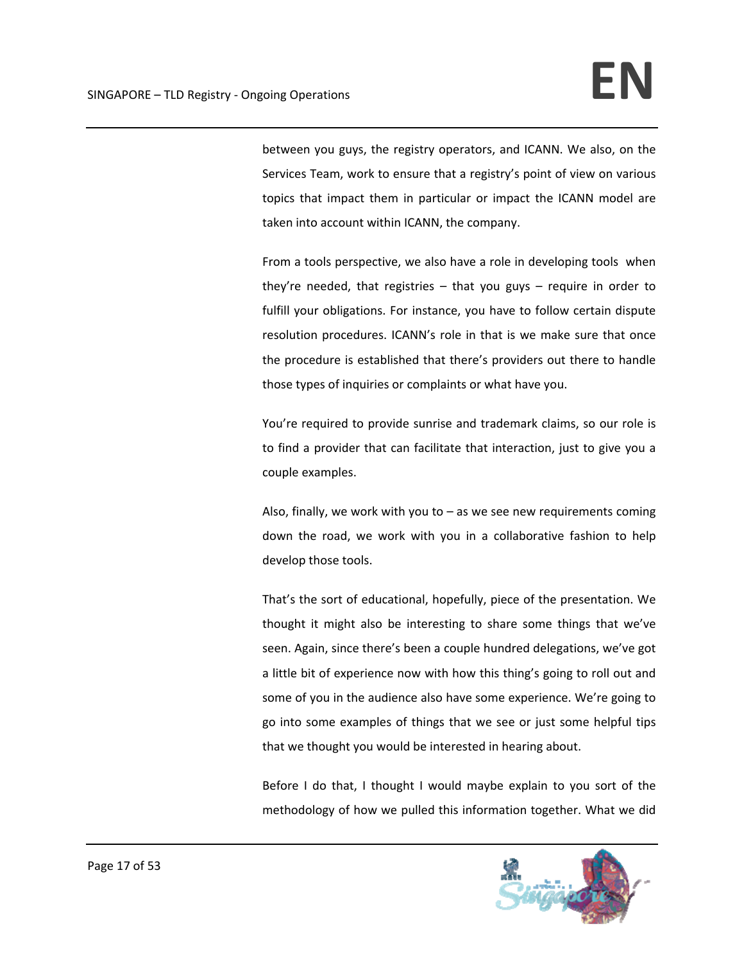between you guys, the registry operators, and ICANN. We also, on the Services Team, work to ensure that a registry's point of view on various topics that impact them in particular or impact the ICANN model are taken into account within ICANN, the company.

From a tools perspective, we also have a role in developing tools when they're needed, that registries – that you guys – require in order to fulfill your obligations. For instance, you have to follow certain dispute resolution procedures. ICANN's role in that is we make sure that once the procedure is established that there's providers out there to handle those types of inquiries or complaints or what have you.

You're required to provide sunrise and trademark claims, so our role is to find a provider that can facilitate that interaction, just to give you a couple examples.

Also, finally, we work with you to  $-$  as we see new requirements coming down the road, we work with you in a collaborative fashion to help develop those tools.

That's the sort of educational, hopefully, piece of the presentation. We thought it might also be interesting to share some things that we've seen. Again, since there's been a couple hundred delegations, we've got a little bit of experience now with how this thing's going to roll out and some of you in the audience also have some experience. We're going to go into some examples of things that we see or just some helpful tips that we thought you would be interested in hearing about.

Before I do that, I thought I would maybe explain to you sort of the methodology of how we pulled this information together. What we did

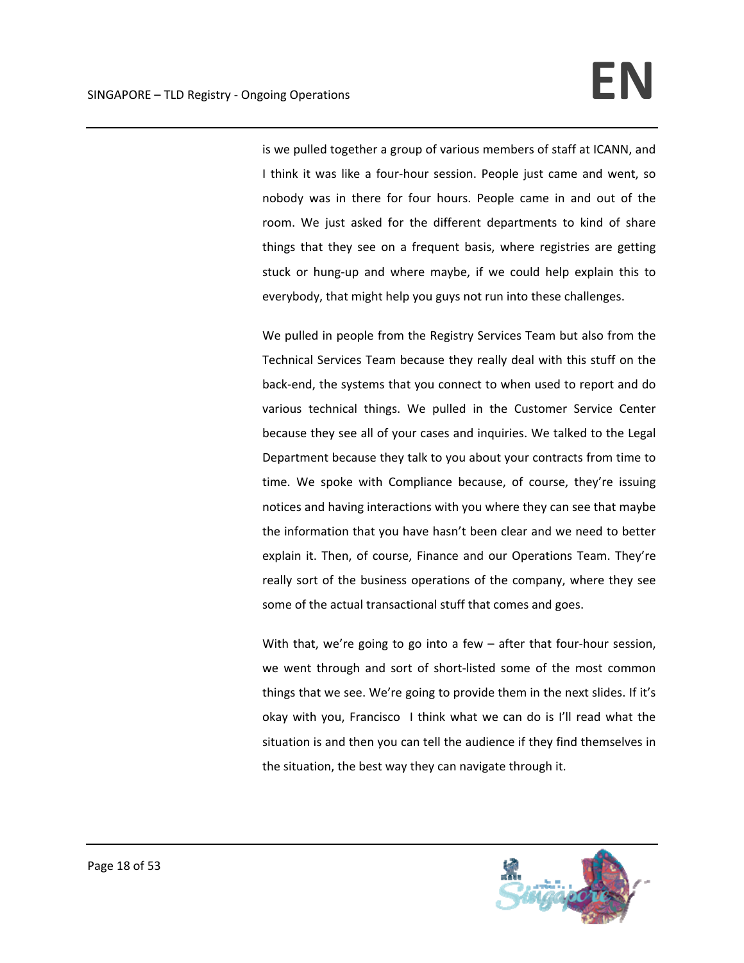is we pulled together a group of various members of staff at ICANN, and I think it was like a four-hour session. People just came and went, so nobody was in there for four hours. People came in and out of the room. We just asked for the different departments to kind of share things that they see on a frequent basis, where registries are getting stuck or hung‐up and where maybe, if we could help explain this to everybody, that might help you guys not run into these challenges.

We pulled in people from the Registry Services Team but also from the Technical Services Team because they really deal with this stuff on the back‐end, the systems that you connect to when used to report and do various technical things. We pulled in the Customer Service Center because they see all of your cases and inquiries. We talked to the Legal Department because they talk to you about your contracts from time to time. We spoke with Compliance because, of course, they're issuing notices and having interactions with you where they can see that maybe the information that you have hasn't been clear and we need to better explain it. Then, of course, Finance and our Operations Team. They're really sort of the business operations of the company, where they see some of the actual transactional stuff that comes and goes.

With that, we're going to go into a few – after that four-hour session, we went through and sort of short‐listed some of the most common things that we see. We're going to provide them in the next slides. If it's okay with you, Francisco I think what we can do is I'll read what the situation is and then you can tell the audience if they find themselves in the situation, the best way they can navigate through it.

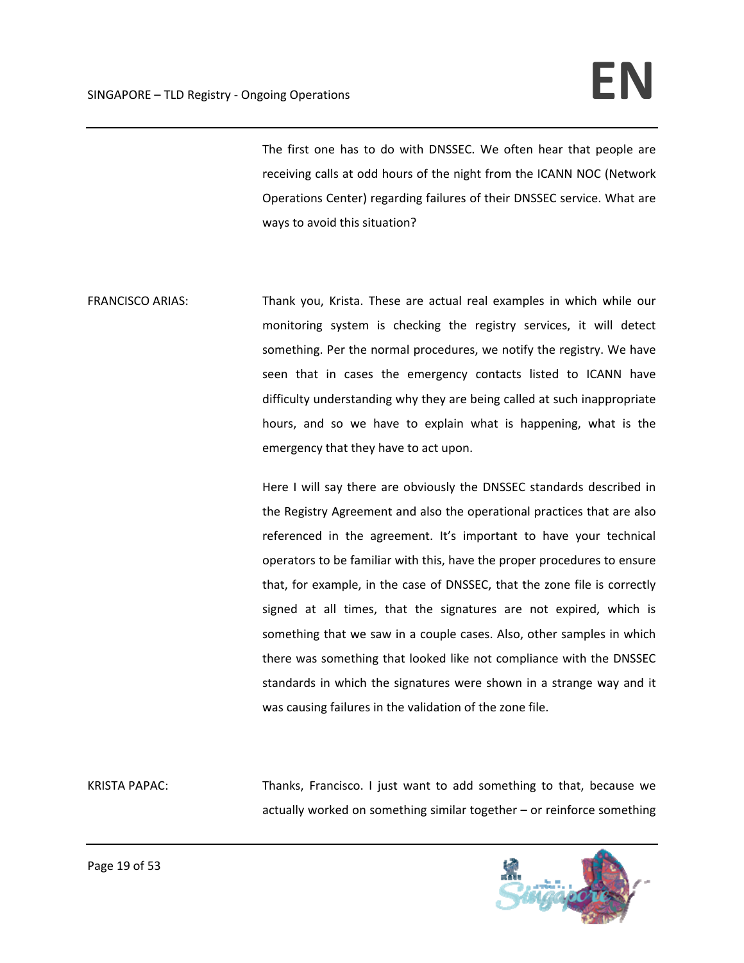# SINGAPORE – TLD Registry - Ongoing Operations **International State of Participate CON**

The first one has to do with DNSSEC. We often hear that people are receiving calls at odd hours of the night from the ICANN NOC (Network Operations Center) regarding failures of their DNSSEC service. What are ways to avoid this situation?

FRANCISCO ARIAS: Thank you, Krista. These are actual real examples in which while our monitoring system is checking the registry services, it will detect something. Per the normal procedures, we notify the registry. We have seen that in cases the emergency contacts listed to ICANN have difficulty understanding why they are being called at such inappropriate hours, and so we have to explain what is happening, what is the emergency that they have to act upon.

> Here I will say there are obviously the DNSSEC standards described in the Registry Agreement and also the operational practices that are also referenced in the agreement. It's important to have your technical operators to be familiar with this, have the proper procedures to ensure that, for example, in the case of DNSSEC, that the zone file is correctly signed at all times, that the signatures are not expired, which is something that we saw in a couple cases. Also, other samples in which there was something that looked like not compliance with the DNSSEC standards in which the signatures were shown in a strange way and it was causing failures in the validation of the zone file.

KRISTA PAPAC: Thanks, Francisco. I just want to add something to that, because we actually worked on something similar together – or reinforce something

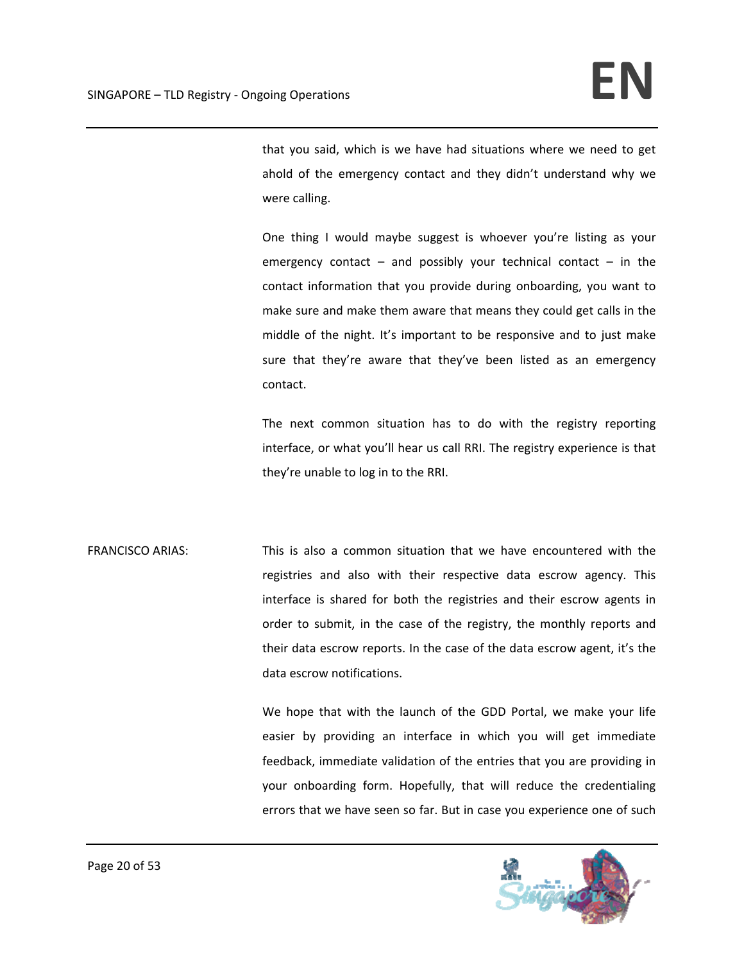that you said, which is we have had situations where we need to get ahold of the emergency contact and they didn't understand why we were calling.

One thing I would maybe suggest is whoever you're listing as your emergency contact – and possibly your technical contact – in the contact information that you provide during onboarding, you want to make sure and make them aware that means they could get calls in the middle of the night. It's important to be responsive and to just make sure that they're aware that they've been listed as an emergency contact.

The next common situation has to do with the registry reporting interface, or what you'll hear us call RRI. The registry experience is that they're unable to log in to the RRI.

FRANCISCO ARIAS: This is also a common situation that we have encountered with the registries and also with their respective data escrow agency. This interface is shared for both the registries and their escrow agents in order to submit, in the case of the registry, the monthly reports and their data escrow reports. In the case of the data escrow agent, it's the data escrow notifications.

> We hope that with the launch of the GDD Portal, we make your life easier by providing an interface in which you will get immediate feedback, immediate validation of the entries that you are providing in your onboarding form. Hopefully, that will reduce the credentialing errors that we have seen so far. But in case you experience one of such

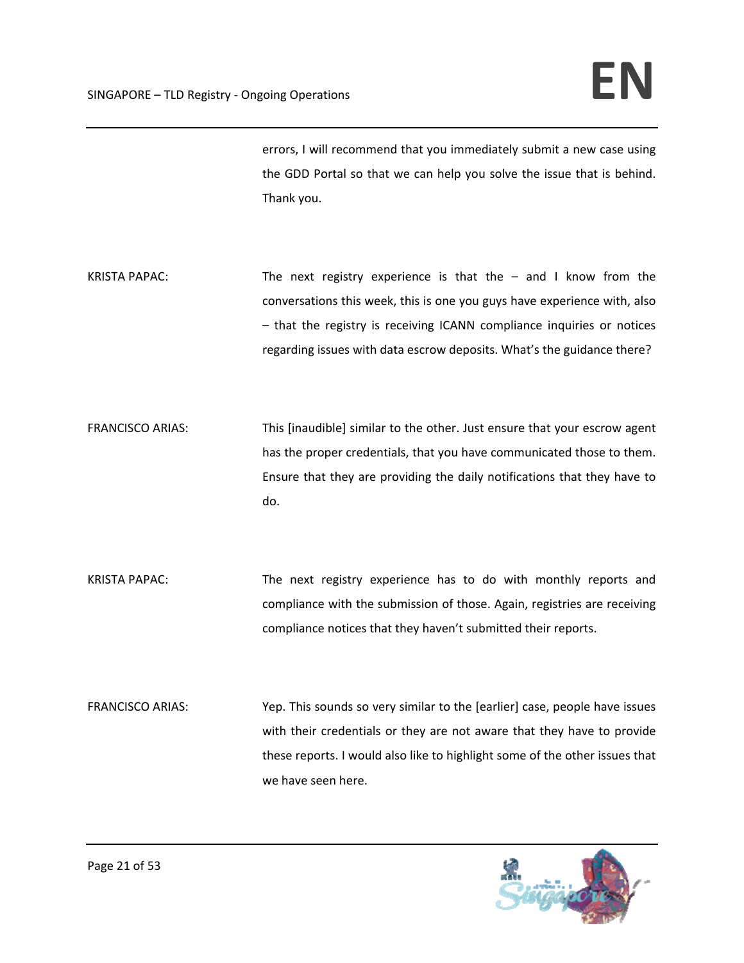errors, I will recommend that you immediately submit a new case using the GDD Portal so that we can help you solve the issue that is behind. Thank you.

- KRISTA PAPAC: The next registry experience is that the  $-$  and I know from the conversations this week, this is one you guys have experience with, also – that the registry is receiving ICANN compliance inquiries or notices regarding issues with data escrow deposits. What's the guidance there?
- FRANCISCO ARIAS: This [inaudible] similar to the other. Just ensure that your escrow agent has the proper credentials, that you have communicated those to them. Ensure that they are providing the daily notifications that they have to do.
- KRISTA PAPAC: The next registry experience has to do with monthly reports and compliance with the submission of those. Again, registries are receiving compliance notices that they haven't submitted their reports.
- FRANCISCO ARIAS: Yep. This sounds so very similar to the [earlier] case, people have issues with their credentials or they are not aware that they have to provide these reports. I would also like to highlight some of the other issues that we have seen here.

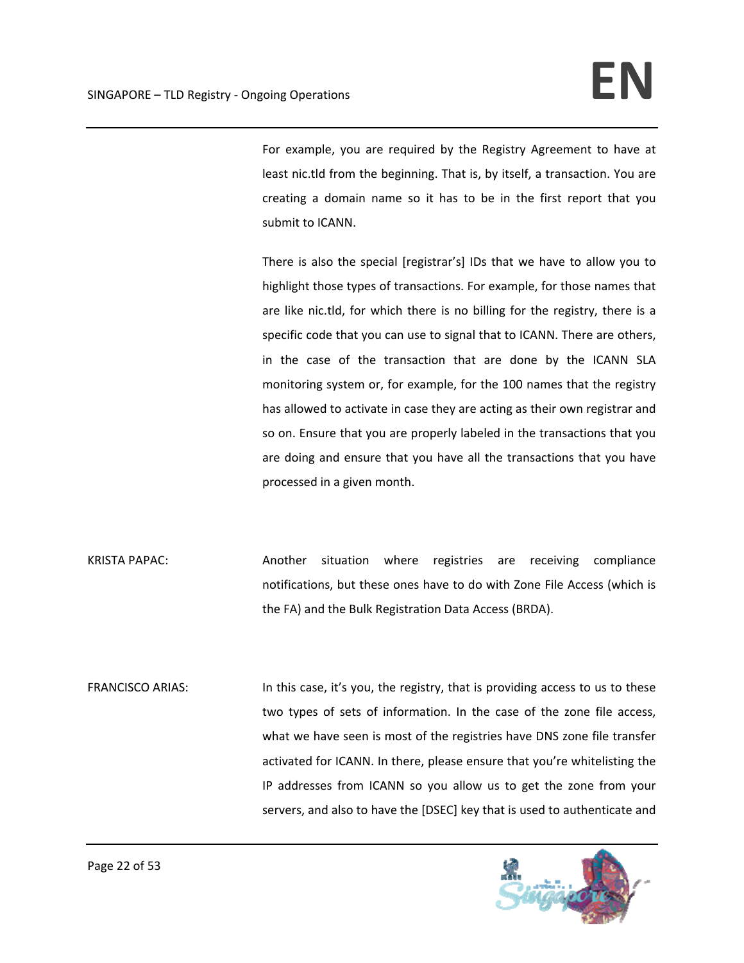For example, you are required by the Registry Agreement to have at least nic.tld from the beginning. That is, by itself, a transaction. You are creating a domain name so it has to be in the first report that you submit to ICANN.

There is also the special [registrar's] IDs that we have to allow you to highlight those types of transactions. For example, for those names that are like nic.tld, for which there is no billing for the registry, there is a specific code that you can use to signal that to ICANN. There are others, in the case of the transaction that are done by the ICANN SLA monitoring system or, for example, for the 100 names that the registry has allowed to activate in case they are acting as their own registrar and so on. Ensure that you are properly labeled in the transactions that you are doing and ensure that you have all the transactions that you have processed in a given month.

KRISTA PAPAC: Another situation where registries are receiving compliance notifications, but these ones have to do with Zone File Access (which is the FA) and the Bulk Registration Data Access (BRDA).

FRANCISCO ARIAS: In this case, it's you, the registry, that is providing access to us to these two types of sets of information. In the case of the zone file access, what we have seen is most of the registries have DNS zone file transfer activated for ICANN. In there, please ensure that you're whitelisting the IP addresses from ICANN so you allow us to get the zone from your servers, and also to have the [DSEC] key that is used to authenticate and

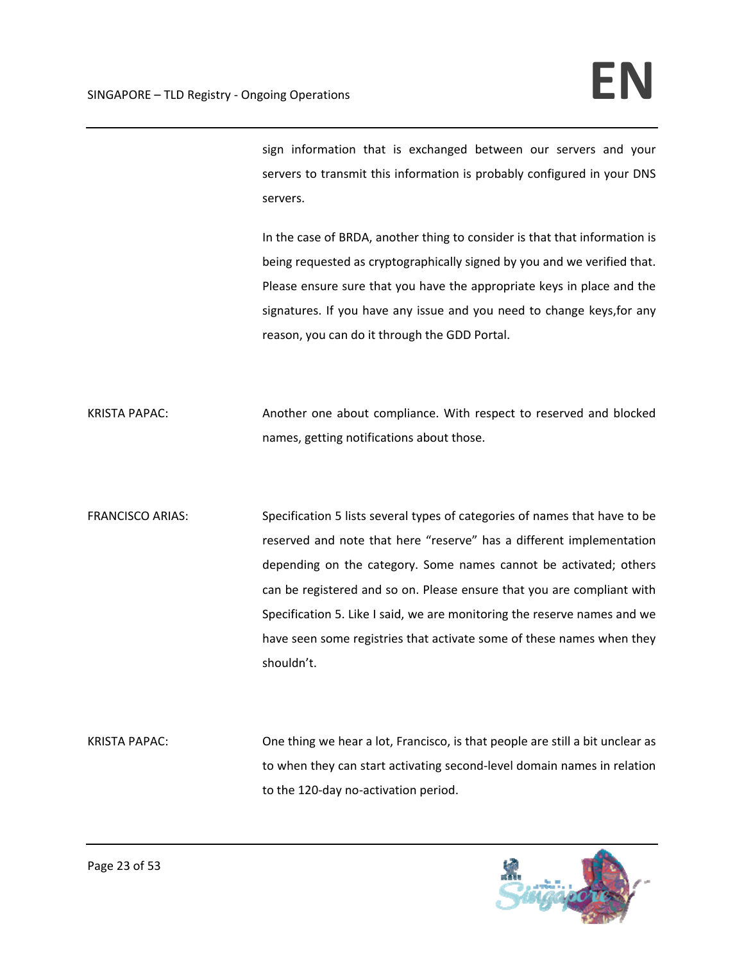sign information that is exchanged between our servers and your servers to transmit this information is probably configured in your DNS servers.

In the case of BRDA, another thing to consider is that that information is being requested as cryptographically signed by you and we verified that. Please ensure sure that you have the appropriate keys in place and the signatures. If you have any issue and you need to change keys,for any reason, you can do it through the GDD Portal.

KRISTA PAPAC: Another one about compliance. With respect to reserved and blocked names, getting notifications about those.

FRANCISCO ARIAS: Specification 5 lists several types of categories of names that have to be reserved and note that here "reserve" has a different implementation depending on the category. Some names cannot be activated; others can be registered and so on. Please ensure that you are compliant with Specification 5. Like I said, we are monitoring the reserve names and we have seen some registries that activate some of these names when they shouldn't.

KRISTA PAPAC: One thing we hear a lot, Francisco, is that people are still a bit unclear as to when they can start activating second‐level domain names in relation to the 120‐day no‐activation period.

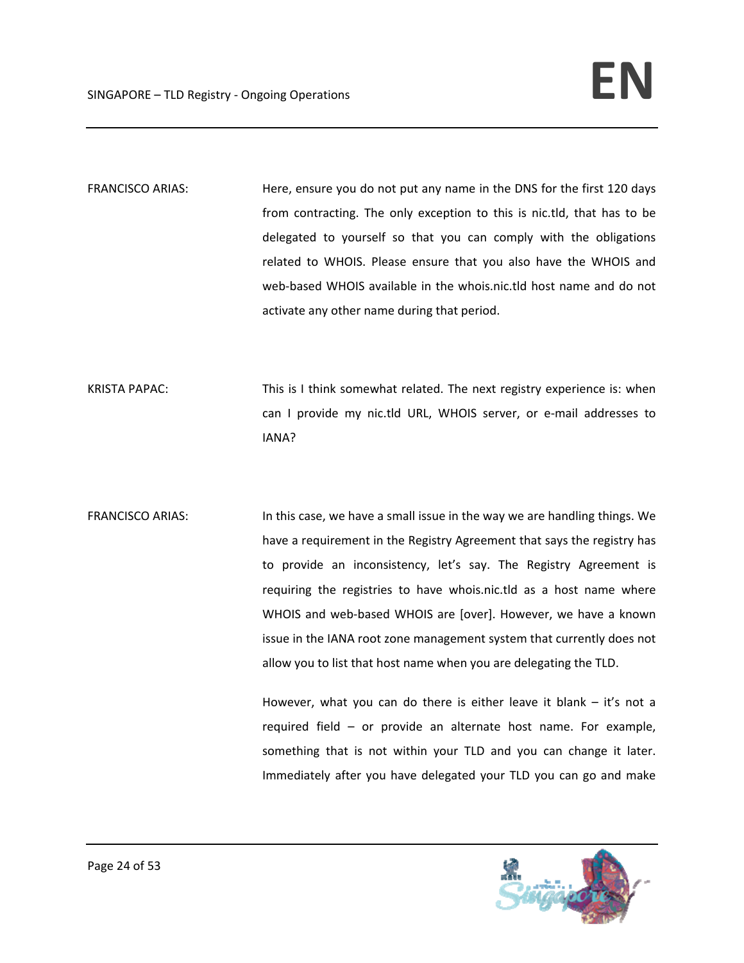FRANCISCO ARIAS: Here, ensure you do not put any name in the DNS for the first 120 days from contracting. The only exception to this is nic.tld, that has to be delegated to yourself so that you can comply with the obligations related to WHOIS. Please ensure that you also have the WHOIS and web-based WHOIS available in the whois.nic.tld host name and do not activate any other name during that period.

KRISTA PAPAC: This is I think somewhat related. The next registry experience is: when can I provide my nic.tld URL, WHOIS server, or e-mail addresses to IANA?

FRANCISCO ARIAS: In this case, we have a small issue in the way we are handling things. We have a requirement in the Registry Agreement that says the registry has to provide an inconsistency, let's say. The Registry Agreement is requiring the registries to have whois.nic.tld as a host name where WHOIS and web-based WHOIS are [over]. However, we have a known issue in the IANA root zone management system that currently does not allow you to list that host name when you are delegating the TLD.

> However, what you can do there is either leave it blank  $-$  it's not a required field – or provide an alternate host name. For example, something that is not within your TLD and you can change it later. Immediately after you have delegated your TLD you can go and make

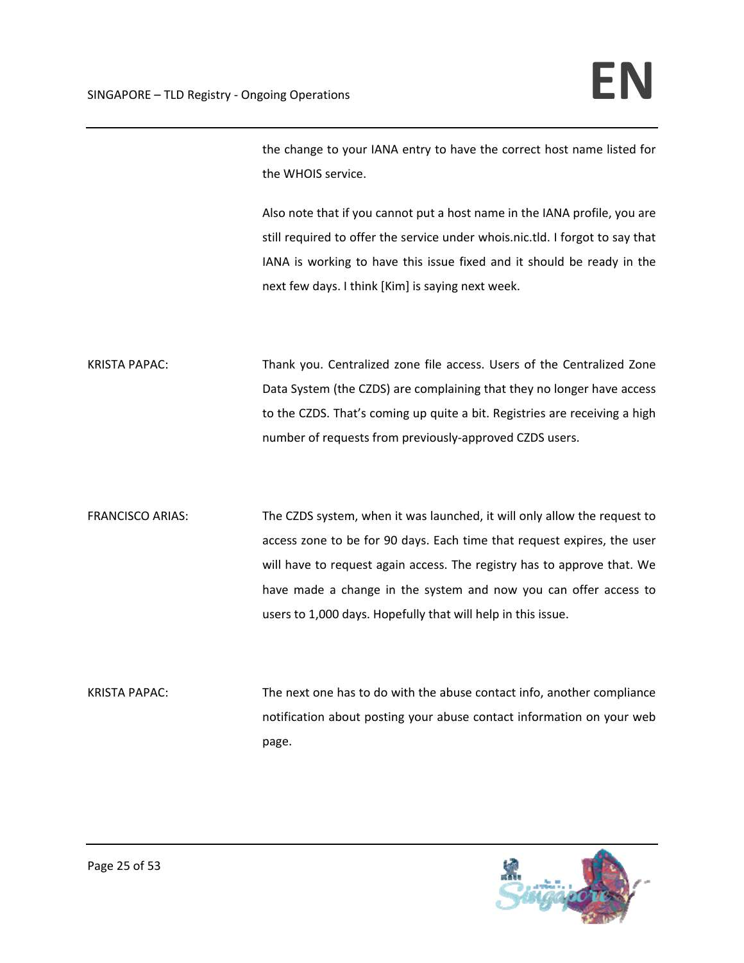the change to your IANA entry to have the correct host name listed for the WHOIS service.

Also note that if you cannot put a host name in the IANA profile, you are still required to offer the service under whois.nic.tld. I forgot to say that IANA is working to have this issue fixed and it should be ready in the next few days. I think [Kim] is saying next week.

KRISTA PAPAC: Thank you. Centralized zone file access. Users of the Centralized Zone Data System (the CZDS) are complaining that they no longer have access to the CZDS. That's coming up quite a bit. Registries are receiving a high number of requests from previously‐approved CZDS users.

FRANCISCO ARIAS: The CZDS system, when it was launched, it will only allow the request to access zone to be for 90 days. Each time that request expires, the user will have to request again access. The registry has to approve that. We have made a change in the system and now you can offer access to users to 1,000 days. Hopefully that will help in this issue.

KRISTA PAPAC: The next one has to do with the abuse contact info, another compliance notification about posting your abuse contact information on your web page.

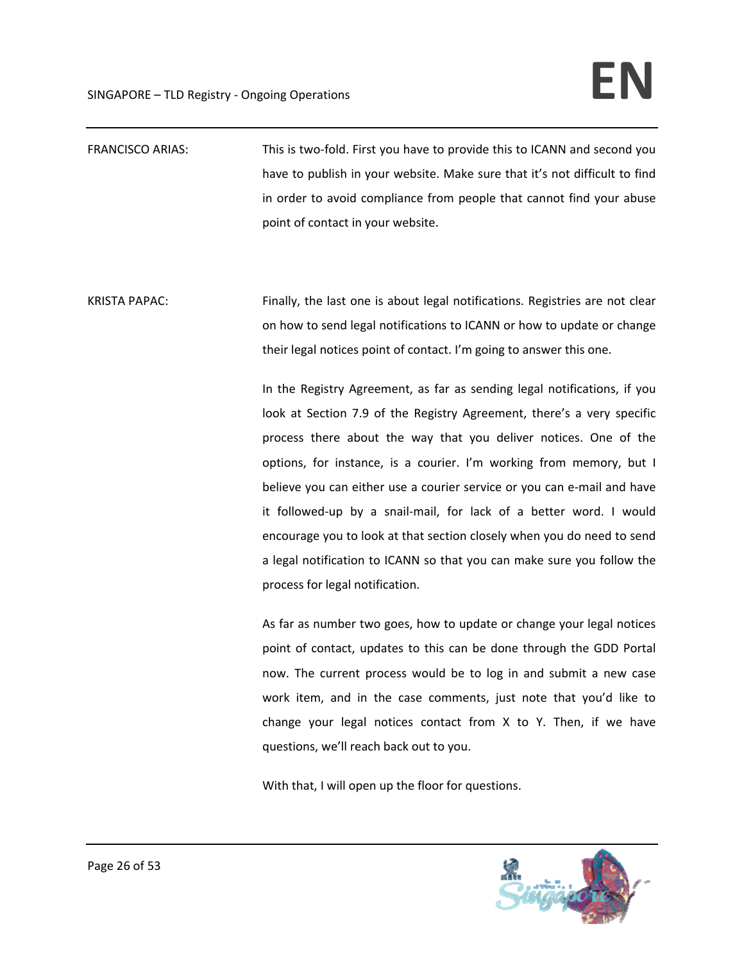FRANCISCO ARIAS: This is two-fold. First you have to provide this to ICANN and second you have to publish in your website. Make sure that it's not difficult to find in order to avoid compliance from people that cannot find your abuse point of contact in your website.

KRISTA PAPAC: Finally, the last one is about legal notifications. Registries are not clear on how to send legal notifications to ICANN or how to update or change their legal notices point of contact. I'm going to answer this one.

> In the Registry Agreement, as far as sending legal notifications, if you look at Section 7.9 of the Registry Agreement, there's a very specific process there about the way that you deliver notices. One of the options, for instance, is a courier. I'm working from memory, but I believe you can either use a courier service or you can e‐mail and have it followed‐up by a snail‐mail, for lack of a better word. I would encourage you to look at that section closely when you do need to send a legal notification to ICANN so that you can make sure you follow the process for legal notification.

> As far as number two goes, how to update or change your legal notices point of contact, updates to this can be done through the GDD Portal now. The current process would be to log in and submit a new case work item, and in the case comments, just note that you'd like to change your legal notices contact from X to Y. Then, if we have questions, we'll reach back out to you.

With that, I will open up the floor for questions.

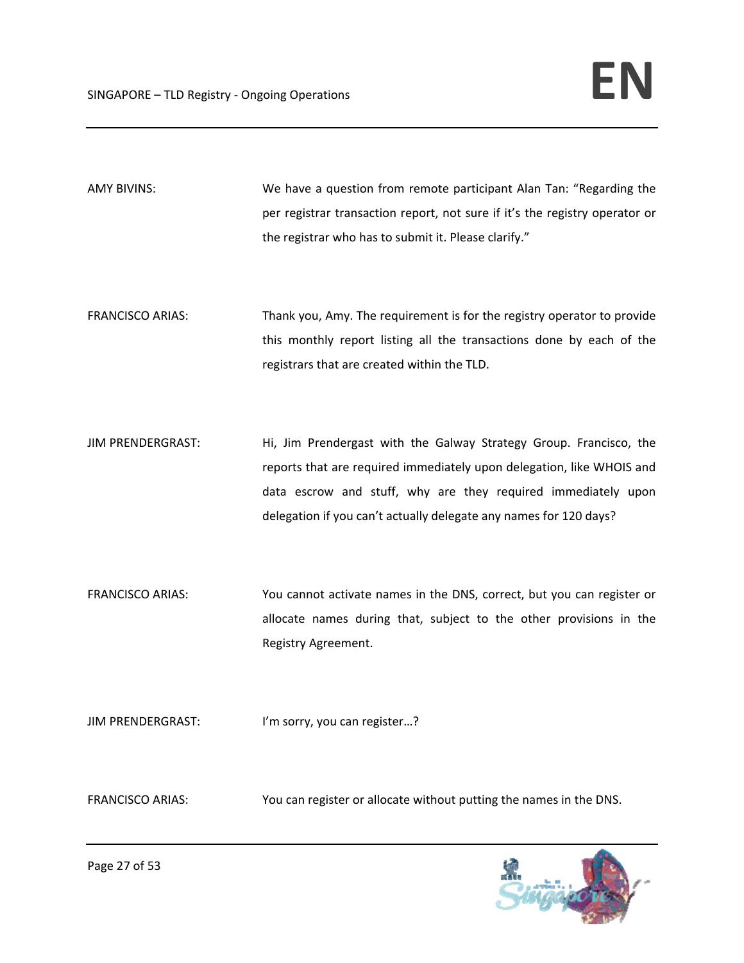AMY BIVINS: We have a question from remote participant Alan Tan: "Regarding the per registrar transaction report, not sure if it's the registry operator or the registrar who has to submit it. Please clarify."

- FRANCISCO ARIAS: Thank you, Amy. The requirement is for the registry operator to provide this monthly report listing all the transactions done by each of the registrars that are created within the TLD.
- JIM PRENDERGRAST: Hi, Jim Prendergast with the Galway Strategy Group. Francisco, the reports that are required immediately upon delegation, like WHOIS and data escrow and stuff, why are they required immediately upon delegation if you can't actually delegate any names for 120 days?
- FRANCISCO ARIAS: You cannot activate names in the DNS, correct, but you can register or allocate names during that, subject to the other provisions in the Registry Agreement.

JIM PRENDERGRAST: I'm sorry, you can register...?

FRANCISCO ARIAS: You can register or allocate without putting the names in the DNS.

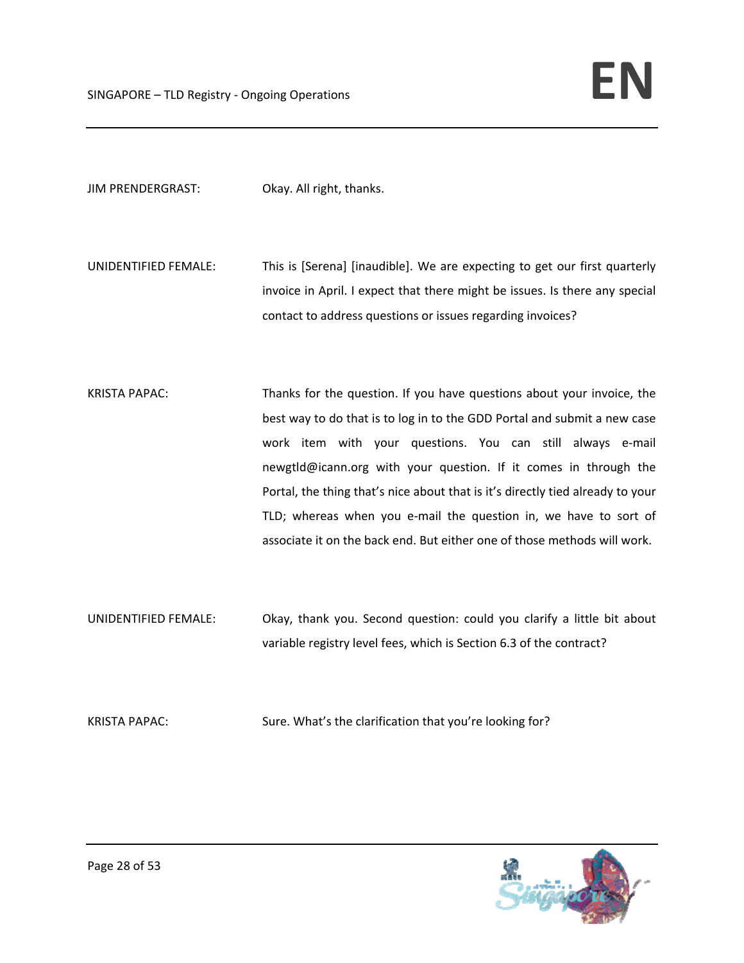JIM PRENDERGRAST: Okay. All right, thanks.

- UNIDENTIFIED FEMALE: This is [Serena] [inaudible]. We are expecting to get our first quarterly invoice in April. I expect that there might be issues. Is there any special contact to address questions or issues regarding invoices?
- KRISTA PAPAC: Thanks for the question. If you have questions about your invoice, the best way to do that is to log in to the GDD Portal and submit a new case work item with your questions. You can still always e‐mail newgtld@icann.org with your question. If it comes in through the Portal, the thing that's nice about that is it's directly tied already to your TLD; whereas when you e-mail the question in, we have to sort of associate it on the back end. But either one of those methods will work.
- UNIDENTIFIED FEMALE: Okay, thank you. Second question: could you clarify a little bit about variable registry level fees, which is Section 6.3 of the contract?
- KRISTA PAPAC: Sure. What's the clarification that you're looking for?

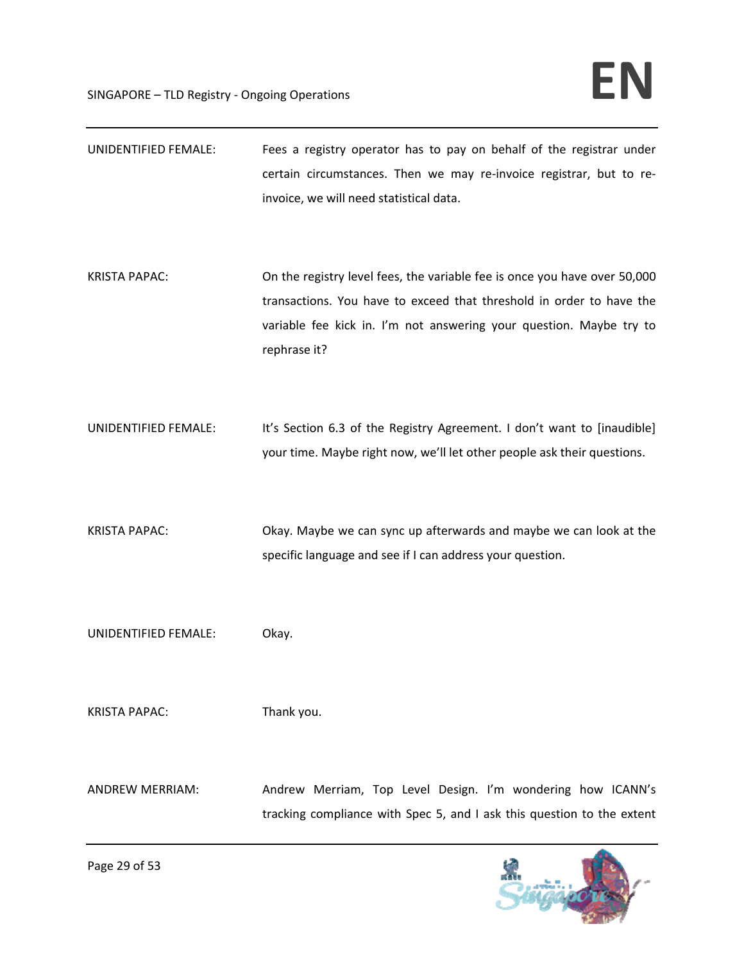| <b>UNIDENTIFIED FEMALE:</b> | Fees a registry operator has to pay on behalf of the registrar under<br>certain circumstances. Then we may re-invoice registrar, but to re-<br>invoice, we will need statistical data.                                                   |
|-----------------------------|------------------------------------------------------------------------------------------------------------------------------------------------------------------------------------------------------------------------------------------|
| <b>KRISTA PAPAC:</b>        | On the registry level fees, the variable fee is once you have over 50,000<br>transactions. You have to exceed that threshold in order to have the<br>variable fee kick in. I'm not answering your question. Maybe try to<br>rephrase it? |
| UNIDENTIFIED FEMALE:        | It's Section 6.3 of the Registry Agreement. I don't want to [inaudible]<br>your time. Maybe right now, we'll let other people ask their questions.                                                                                       |
| <b>KRISTA PAPAC:</b>        | Okay. Maybe we can sync up afterwards and maybe we can look at the<br>specific language and see if I can address your question.                                                                                                          |
| UNIDENTIFIED FEMALE:        | Okay.                                                                                                                                                                                                                                    |
| <b>KRISTA PAPAC:</b>        | Thank you.                                                                                                                                                                                                                               |
| <b>ANDREW MERRIAM:</b>      | Andrew Merriam, Top Level Design. I'm wondering how ICANN's<br>tracking compliance with Spec 5, and I ask this question to the extent                                                                                                    |

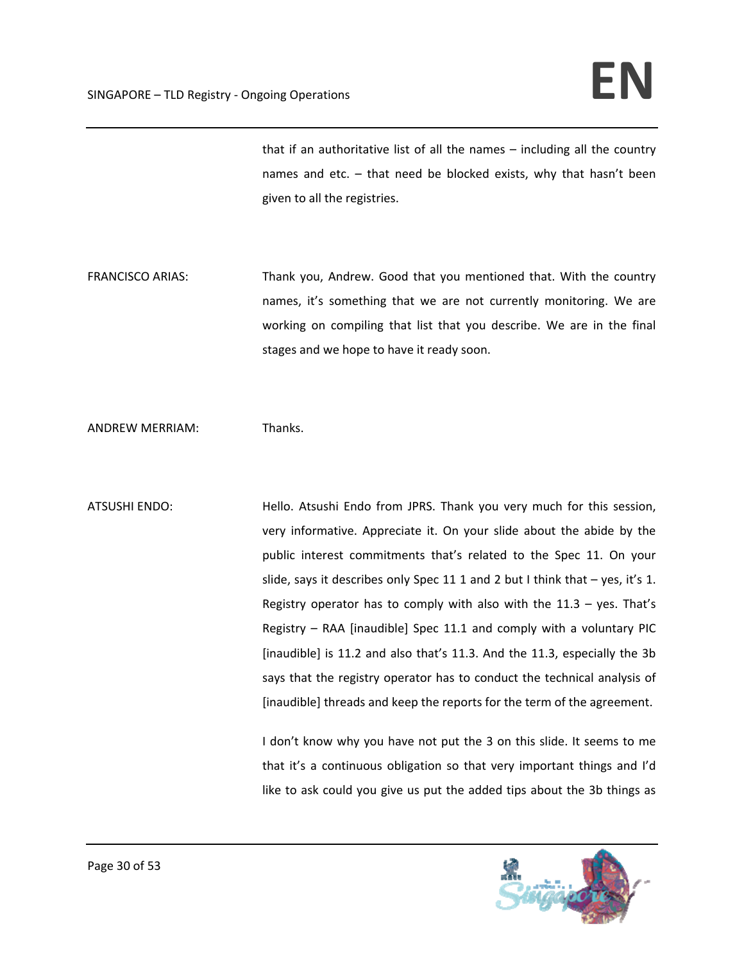that if an authoritative list of all the names – including all the country names and etc. – that need be blocked exists, why that hasn't been given to all the registries.

FRANCISCO ARIAS: Thank you, Andrew. Good that you mentioned that. With the country names, it's something that we are not currently monitoring. We are working on compiling that list that you describe. We are in the final stages and we hope to have it ready soon.

ANDREW MERRIAM: Thanks.

ATSUSHI ENDO: Hello. Atsushi Endo from JPRS. Thank you very much for this session, very informative. Appreciate it. On your slide about the abide by the public interest commitments that's related to the Spec 11. On your slide, says it describes only Spec 11 1 and 2 but I think that  $-$  yes, it's 1. Registry operator has to comply with also with the  $11.3 -$  yes. That's Registry – RAA [inaudible] Spec 11.1 and comply with a voluntary PIC [inaudible] is 11.2 and also that's 11.3. And the 11.3, especially the 3b says that the registry operator has to conduct the technical analysis of [inaudible] threads and keep the reports for the term of the agreement.

> I don't know why you have not put the 3 on this slide. It seems to me that it's a continuous obligation so that very important things and I'd like to ask could you give us put the added tips about the 3b things as

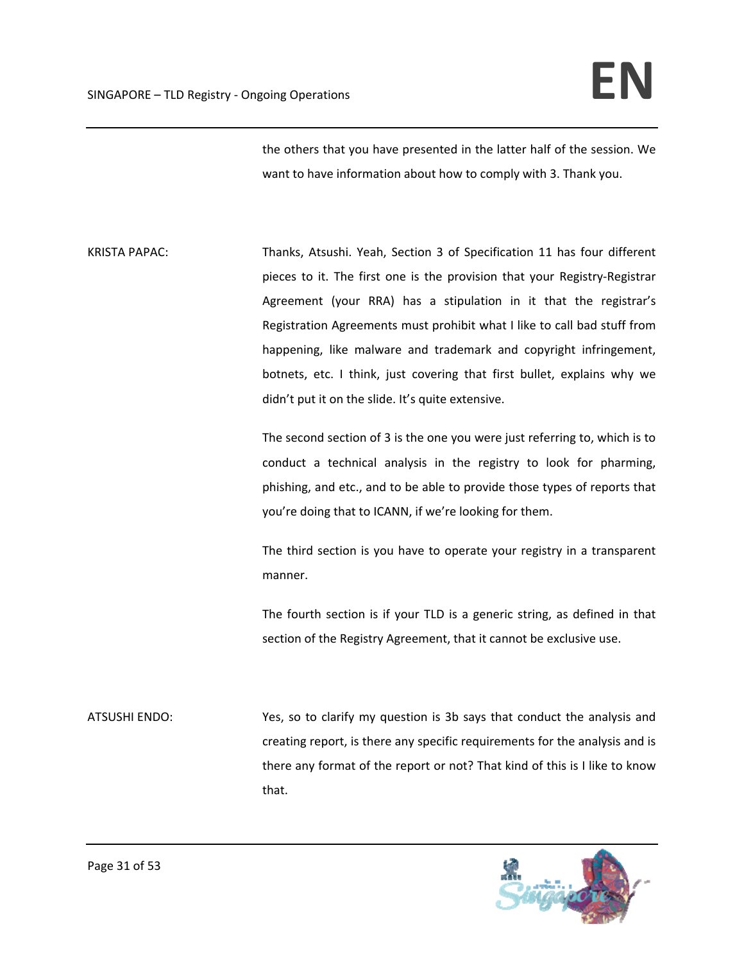the others that you have presented in the latter half of the session. We want to have information about how to comply with 3. Thank you.

KRISTA PAPAC: Thanks, Atsushi. Yeah, Section 3 of Specification 11 has four different pieces to it. The first one is the provision that your Registry‐Registrar Agreement (your RRA) has a stipulation in it that the registrar's Registration Agreements must prohibit what I like to call bad stuff from happening, like malware and trademark and copyright infringement, botnets, etc. I think, just covering that first bullet, explains why we didn't put it on the slide. It's quite extensive.

> The second section of 3 is the one you were just referring to, which is to conduct a technical analysis in the registry to look for pharming, phishing, and etc., and to be able to provide those types of reports that you're doing that to ICANN, if we're looking for them.

> The third section is you have to operate your registry in a transparent manner.

> The fourth section is if your TLD is a generic string, as defined in that section of the Registry Agreement, that it cannot be exclusive use.

ATSUSHI ENDO: Yes, so to clarify my question is 3b says that conduct the analysis and creating report, is there any specific requirements for the analysis and is there any format of the report or not? That kind of this is I like to know that.

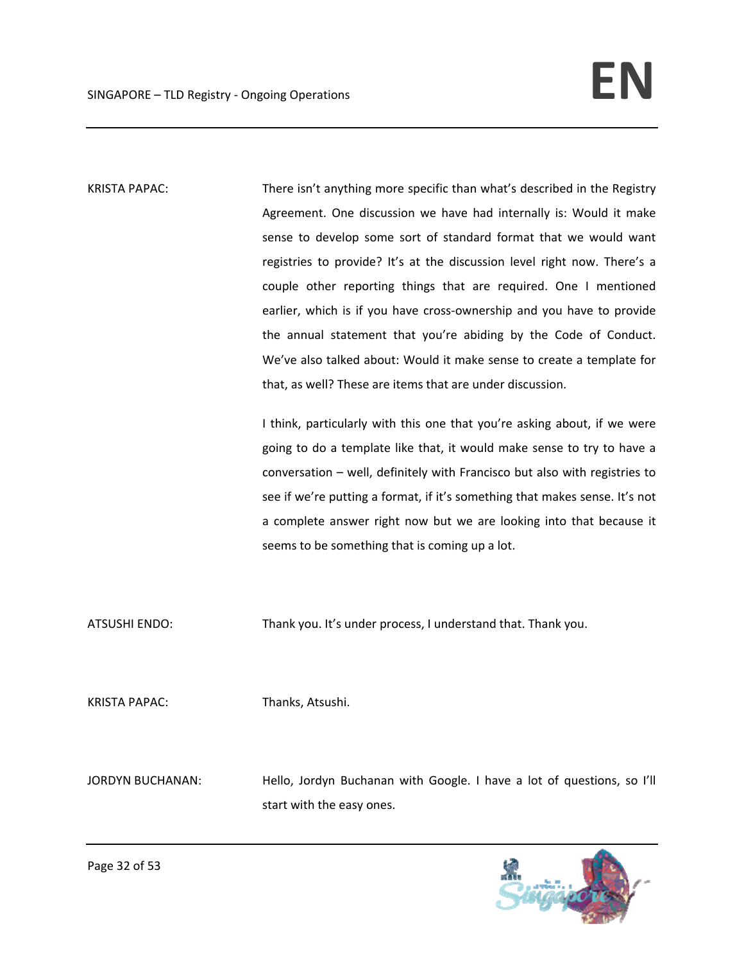KRISTA PAPAC: There isn't anything more specific than what's described in the Registry Agreement. One discussion we have had internally is: Would it make sense to develop some sort of standard format that we would want registries to provide? It's at the discussion level right now. There's a couple other reporting things that are required. One I mentioned earlier, which is if you have cross-ownership and you have to provide the annual statement that you're abiding by the Code of Conduct. We've also talked about: Would it make sense to create a template for that, as well? These are items that are under discussion.

> I think, particularly with this one that you're asking about, if we were going to do a template like that, it would make sense to try to have a conversation – well, definitely with Francisco but also with registries to see if we're putting a format, if it's something that makes sense. It's not a complete answer right now but we are looking into that because it seems to be something that is coming up a lot.

ATSUSHI ENDO: Thank you. It's under process, I understand that. Thank you.

KRISTA PAPAC: Thanks, Atsushi.

JORDYN BUCHANAN: Hello, Jordyn Buchanan with Google. I have a lot of questions, so I'll start with the easy ones.

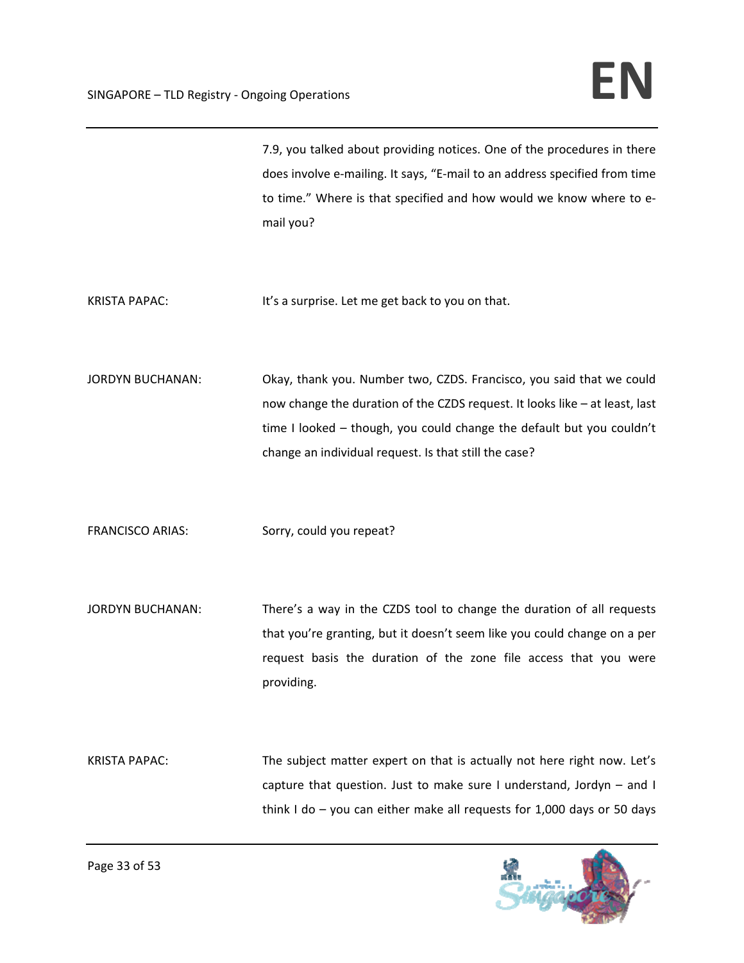|                         | 7.9, you talked about providing notices. One of the procedures in there<br>does involve e-mailing. It says, "E-mail to an address specified from time<br>to time." Where is that specified and how would we know where to e-<br>mail you?                                             |
|-------------------------|---------------------------------------------------------------------------------------------------------------------------------------------------------------------------------------------------------------------------------------------------------------------------------------|
| <b>KRISTA PAPAC:</b>    | It's a surprise. Let me get back to you on that.                                                                                                                                                                                                                                      |
| <b>JORDYN BUCHANAN:</b> | Okay, thank you. Number two, CZDS. Francisco, you said that we could<br>now change the duration of the CZDS request. It looks like - at least, last<br>time I looked - though, you could change the default but you couldn't<br>change an individual request. Is that still the case? |
| <b>FRANCISCO ARIAS:</b> | Sorry, could you repeat?                                                                                                                                                                                                                                                              |
| <b>JORDYN BUCHANAN:</b> | There's a way in the CZDS tool to change the duration of all requests<br>that you're granting, but it doesn't seem like you could change on a per<br>request basis the duration of the zone file access that you were<br>providing.                                                   |
| <b>KRISTA PAPAC:</b>    | The subject matter expert on that is actually not here right now. Let's<br>capture that question. Just to make sure I understand, Jordyn - and I<br>think I do $-$ you can either make all requests for 1,000 days or 50 days                                                         |

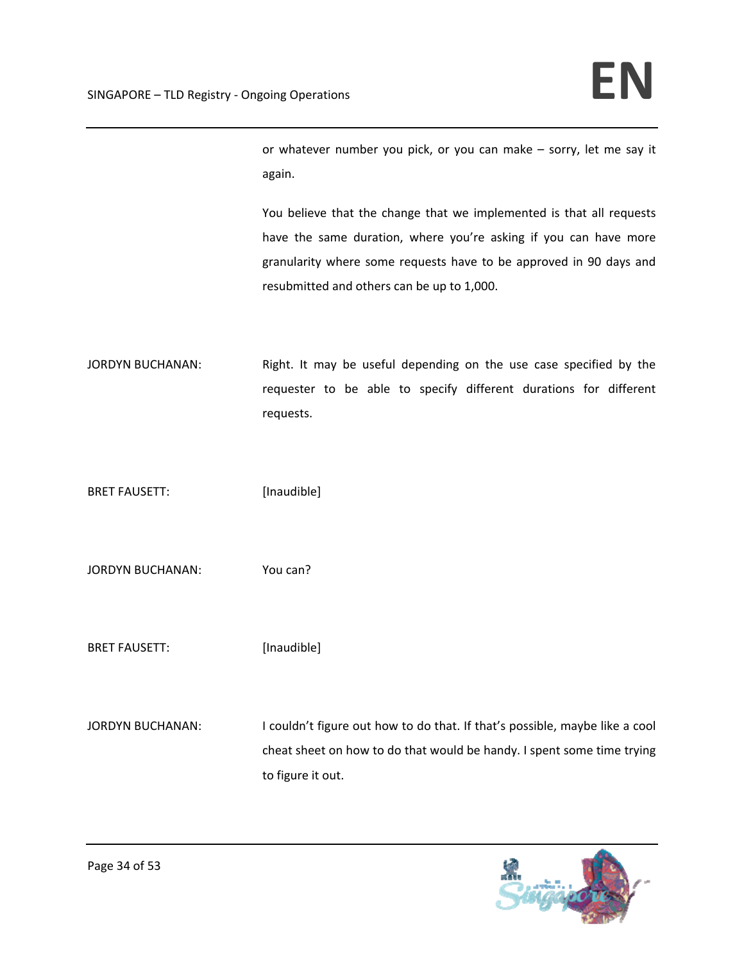or whatever number you pick, or you can make – sorry, let me say it again.

You believe that the change that we implemented is that all requests have the same duration, where you're asking if you can have more granularity where some requests have to be approved in 90 days and resubmitted and others can be up to 1,000.

JORDYN BUCHANAN: Right. It may be useful depending on the use case specified by the requester to be able to specify different durations for different requests.

BRET FAUSETT: [Inaudible]

JORDYN BUCHANAN: You can?

BRET FAUSETT: [Inaudible]

JORDYN BUCHANAN: I couldn't figure out how to do that. If that's possible, maybe like a cool cheat sheet on how to do that would be handy. I spent some time trying to figure it out.

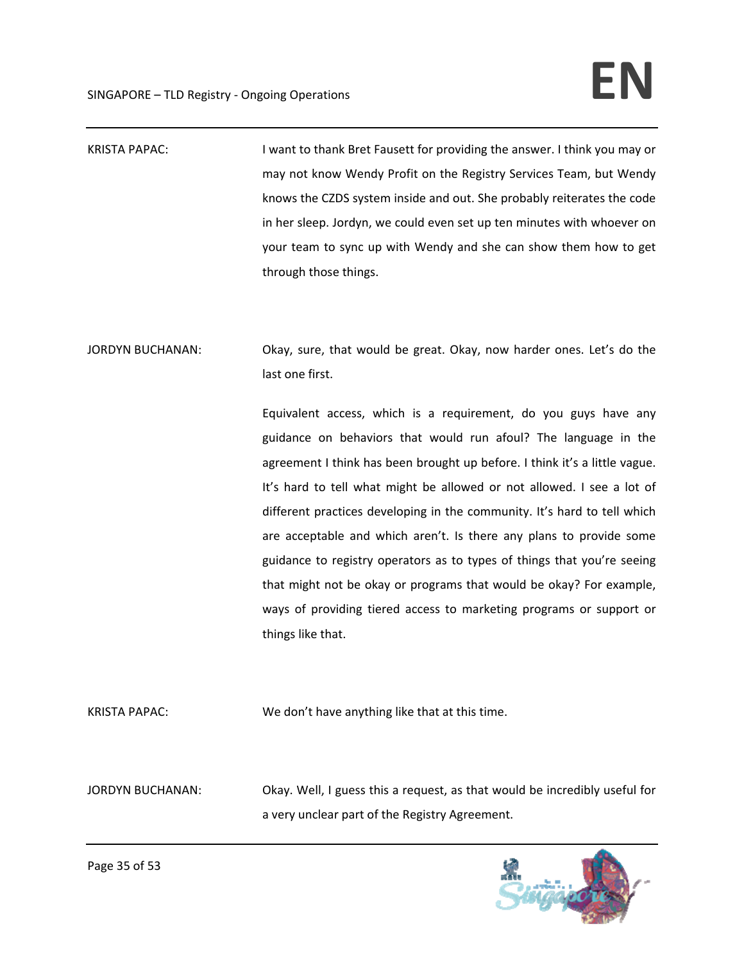KRISTA PAPAC: I want to thank Bret Fausett for providing the answer. I think you may or may not know Wendy Profit on the Registry Services Team, but Wendy knows the CZDS system inside and out. She probably reiterates the code in her sleep. Jordyn, we could even set up ten minutes with whoever on your team to sync up with Wendy and she can show them how to get through those things.

JORDYN BUCHANAN: Okay, sure, that would be great. Okay, now harder ones. Let's do the last one first.

> Equivalent access, which is a requirement, do you guys have any guidance on behaviors that would run afoul? The language in the agreement I think has been brought up before. I think it's a little vague. It's hard to tell what might be allowed or not allowed. I see a lot of different practices developing in the community. It's hard to tell which are acceptable and which aren't. Is there any plans to provide some guidance to registry operators as to types of things that you're seeing that might not be okay or programs that would be okay? For example, ways of providing tiered access to marketing programs or support or things like that.

KRISTA PAPAC: We don't have anything like that at this time.

JORDYN BUCHANAN: Okay. Well, I guess this a request, as that would be incredibly useful for a very unclear part of the Registry Agreement.

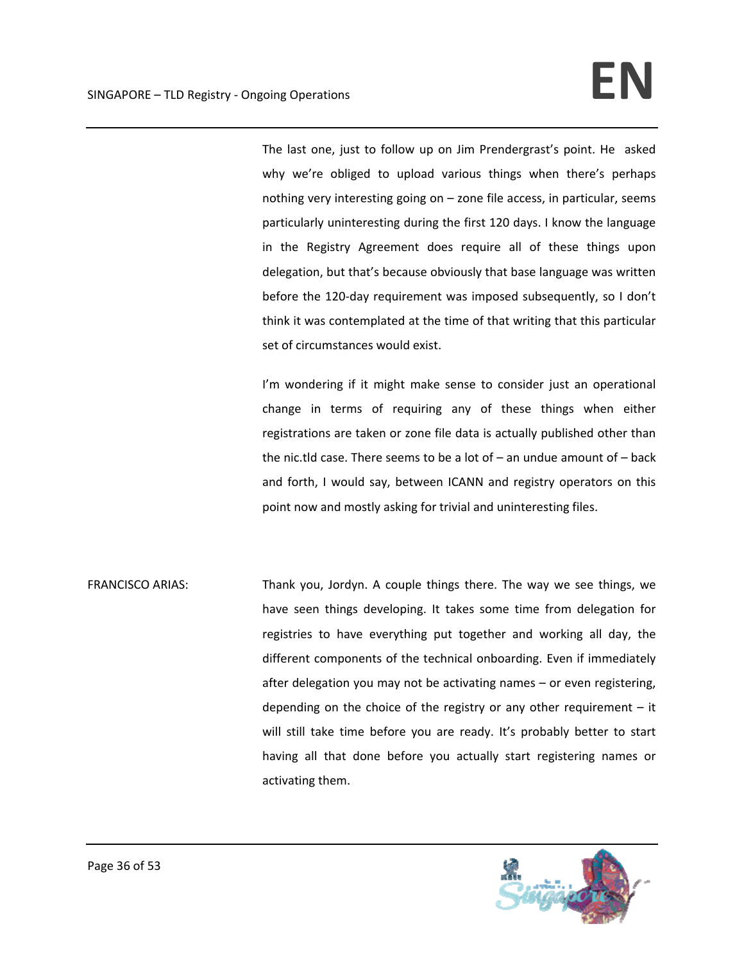The last one, just to follow up on Jim Prendergrast's point. He asked why we're obliged to upload various things when there's perhaps nothing very interesting going on – zone file access, in particular, seems particularly uninteresting during the first 120 days. I know the language in the Registry Agreement does require all of these things upon delegation, but that's because obviously that base language was written before the 120-day requirement was imposed subsequently, so I don't think it was contemplated at the time of that writing that this particular set of circumstances would exist.

I'm wondering if it might make sense to consider just an operational change in terms of requiring any of these things when either registrations are taken or zone file data is actually published other than the nic.tld case. There seems to be a lot of – an undue amount of – back and forth, I would say, between ICANN and registry operators on this point now and mostly asking for trivial and uninteresting files.

FRANCISCO ARIAS: Thank you, Jordyn. A couple things there. The way we see things, we have seen things developing. It takes some time from delegation for registries to have everything put together and working all day, the different components of the technical onboarding. Even if immediately after delegation you may not be activating names – or even registering, depending on the choice of the registry or any other requirement  $-$  it will still take time before you are ready. It's probably better to start having all that done before you actually start registering names or activating them.

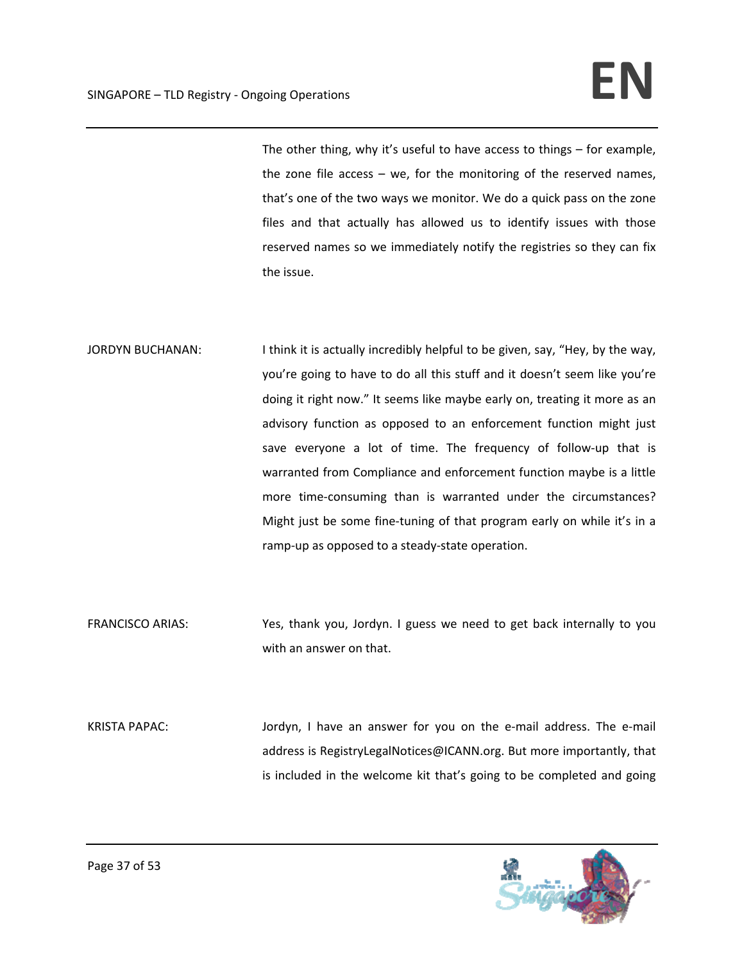The other thing, why it's useful to have access to things – for example, the zone file  $access - we$ , for the monitoring of the reserved names, that's one of the two ways we monitor. We do a quick pass on the zone files and that actually has allowed us to identify issues with those reserved names so we immediately notify the registries so they can fix the issue.

- JORDYN BUCHANAN: I think it is actually incredibly helpful to be given, say, "Hey, by the way, you're going to have to do all this stuff and it doesn't seem like you're doing it right now." It seems like maybe early on, treating it more as an advisory function as opposed to an enforcement function might just save everyone a lot of time. The frequency of follow-up that is warranted from Compliance and enforcement function maybe is a little more time-consuming than is warranted under the circumstances? Might just be some fine-tuning of that program early on while it's in a ramp‐up as opposed to a steady‐state operation.
- FRANCISCO ARIAS: Yes, thank you, Jordyn. I guess we need to get back internally to you with an answer on that.
- KRISTA PAPAC: Jordyn, I have an answer for you on the e-mail address. The e-mail address is RegistryLegalNotices@ICANN.org. But more importantly, that is included in the welcome kit that's going to be completed and going

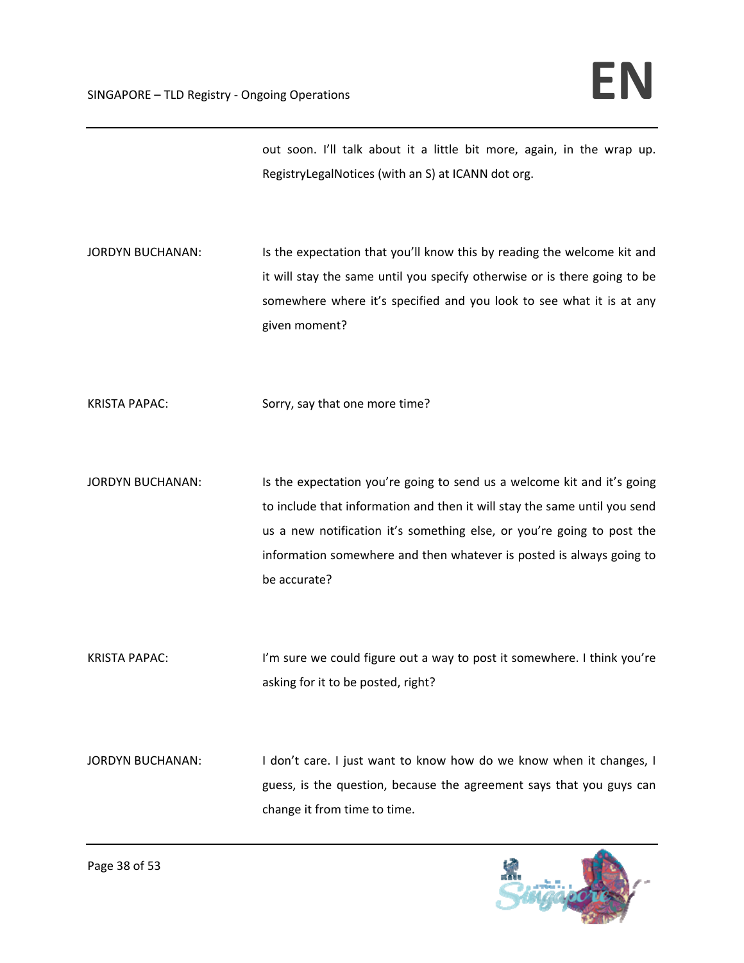out soon. I'll talk about it a little bit more, again, in the wrap up. RegistryLegalNotices (with an S) at ICANN dot org.

JORDYN BUCHANAN: Is the expectation that you'll know this by reading the welcome kit and it will stay the same until you specify otherwise or is there going to be somewhere where it's specified and you look to see what it is at any given moment?

KRISTA PAPAC: Sorry, say that one more time?

JORDYN BUCHANAN: Is the expectation you're going to send us a welcome kit and it's going to include that information and then it will stay the same until you send us a new notification it's something else, or you're going to post the information somewhere and then whatever is posted is always going to be accurate?

KRISTA PAPAC: I'm sure we could figure out a way to post it somewhere. I think you're asking for it to be posted, right?

JORDYN BUCHANAN: I don't care. I just want to know how do we know when it changes, I guess, is the question, because the agreement says that you guys can change it from time to time.

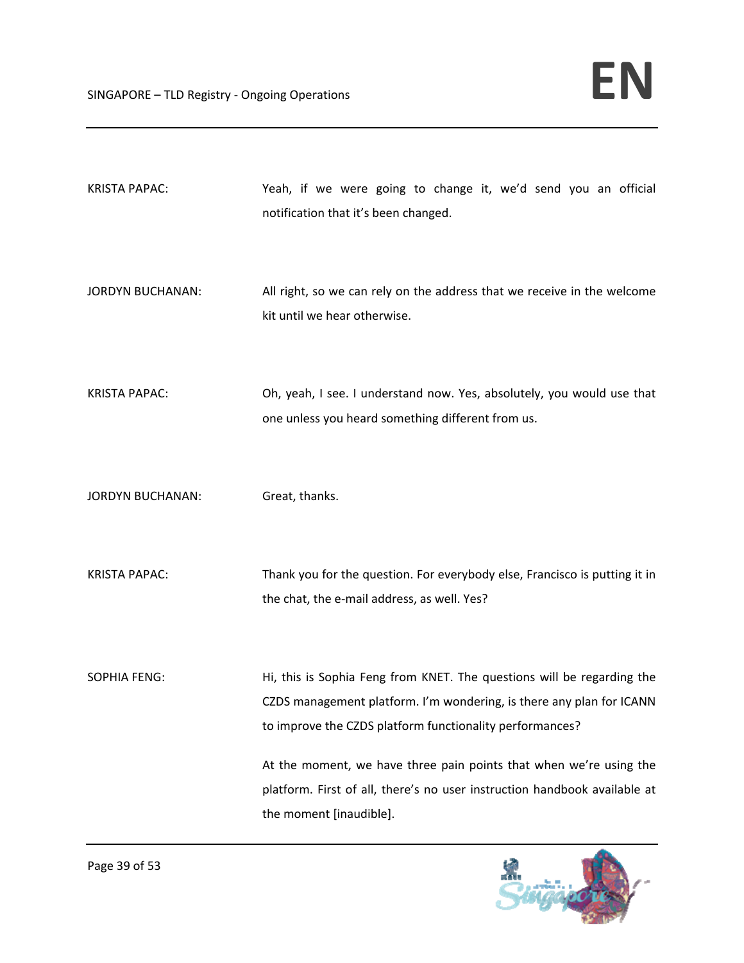| <b>KRISTA PAPAC:</b>    | Yeah, if we were going to change it, we'd send you an official<br>notification that it's been changed.                                                                                                     |
|-------------------------|------------------------------------------------------------------------------------------------------------------------------------------------------------------------------------------------------------|
| <b>JORDYN BUCHANAN:</b> | All right, so we can rely on the address that we receive in the welcome<br>kit until we hear otherwise.                                                                                                    |
| <b>KRISTA PAPAC:</b>    | Oh, yeah, I see. I understand now. Yes, absolutely, you would use that<br>one unless you heard something different from us.                                                                                |
| <b>JORDYN BUCHANAN:</b> | Great, thanks.                                                                                                                                                                                             |
| <b>KRISTA PAPAC:</b>    | Thank you for the question. For everybody else, Francisco is putting it in<br>the chat, the e-mail address, as well. Yes?                                                                                  |
| <b>SOPHIA FENG:</b>     | Hi, this is Sophia Feng from KNET. The questions will be regarding the<br>CZDS management platform. I'm wondering, is there any plan for ICANN<br>to improve the CZDS platform functionality performances? |
|                         | At the moment, we have three pain points that when we're using the<br>platform. First of all, there's no user instruction handbook available at<br>the moment [inaudible].                                 |

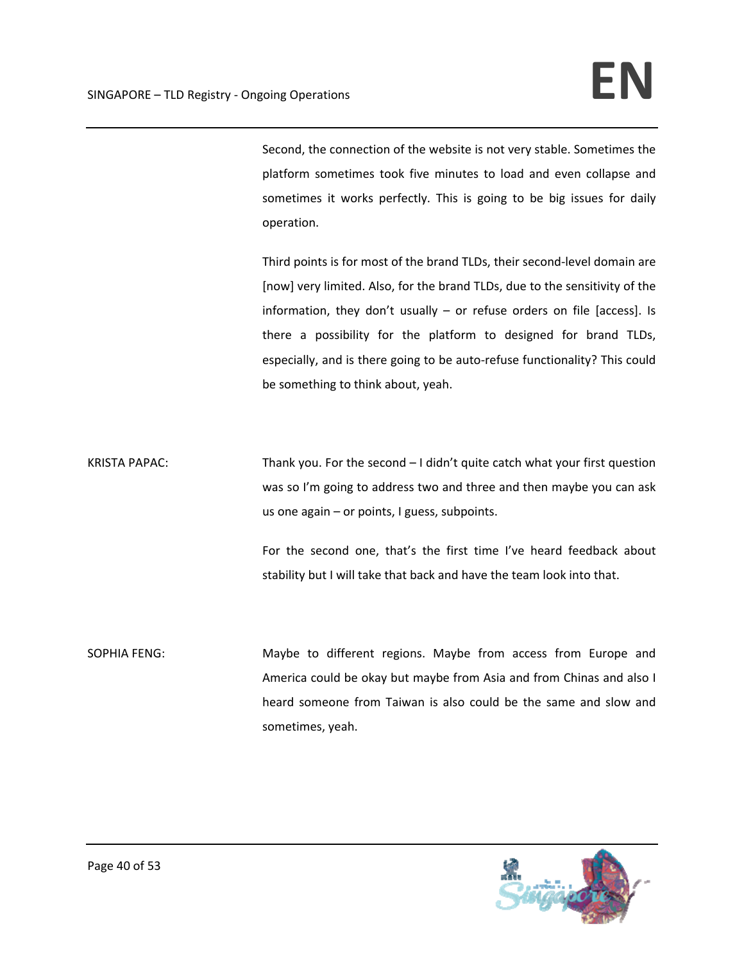Second, the connection of the website is not very stable. Sometimes the platform sometimes took five minutes to load and even collapse and sometimes it works perfectly. This is going to be big issues for daily operation.

Third points is for most of the brand TLDs, their second‐level domain are [now] very limited. Also, for the brand TLDs, due to the sensitivity of the information, they don't usually – or refuse orders on file [access]. Is there a possibility for the platform to designed for brand TLDs, especially, and is there going to be auto-refuse functionality? This could be something to think about, yeah.

KRISTA PAPAC: Thank you. For the second – I didn't quite catch what your first question was so I'm going to address two and three and then maybe you can ask us one again – or points, I guess, subpoints.

> For the second one, that's the first time I've heard feedback about stability but I will take that back and have the team look into that.

SOPHIA FENG: Maybe to different regions. Maybe from access from Europe and America could be okay but maybe from Asia and from Chinas and also I heard someone from Taiwan is also could be the same and slow and sometimes, yeah.

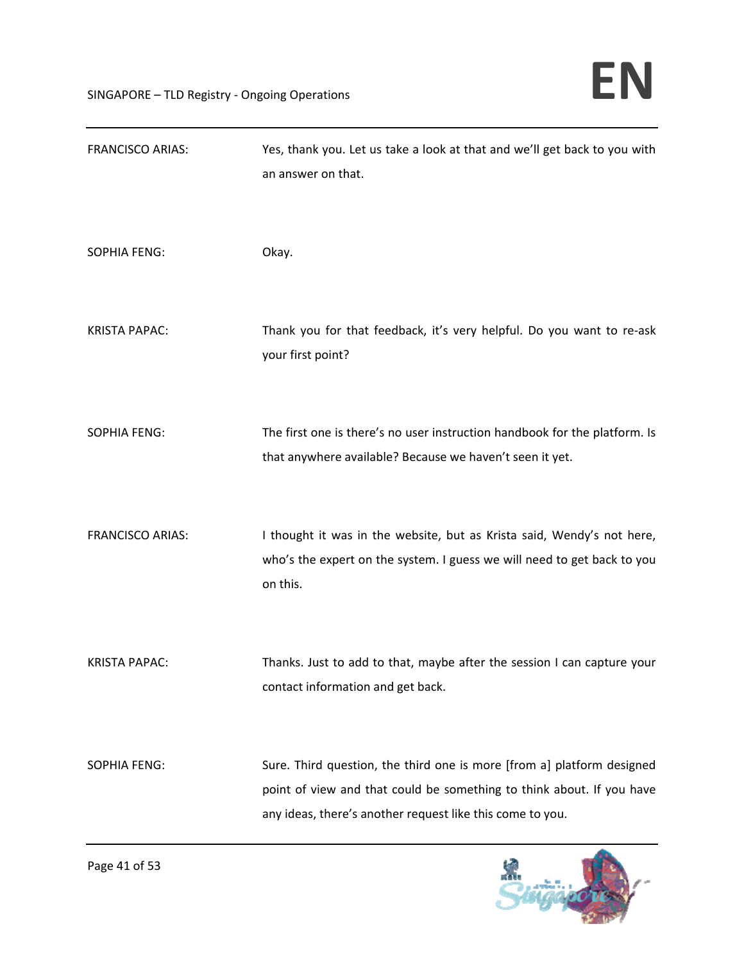| <b>FRANCISCO ARIAS:</b> | Yes, thank you. Let us take a look at that and we'll get back to you with<br>an answer on that.                                                                                                              |
|-------------------------|--------------------------------------------------------------------------------------------------------------------------------------------------------------------------------------------------------------|
| <b>SOPHIA FENG:</b>     | Okay.                                                                                                                                                                                                        |
| <b>KRISTA PAPAC:</b>    | Thank you for that feedback, it's very helpful. Do you want to re-ask<br>your first point?                                                                                                                   |
| <b>SOPHIA FENG:</b>     | The first one is there's no user instruction handbook for the platform. Is<br>that anywhere available? Because we haven't seen it yet.                                                                       |
| <b>FRANCISCO ARIAS:</b> | I thought it was in the website, but as Krista said, Wendy's not here,<br>who's the expert on the system. I guess we will need to get back to you<br>on this.                                                |
| <b>KRISTA PAPAC:</b>    | Thanks. Just to add to that, maybe after the session I can capture your<br>contact information and get back.                                                                                                 |
| <b>SOPHIA FENG:</b>     | Sure. Third question, the third one is more [from a] platform designed<br>point of view and that could be something to think about. If you have<br>any ideas, there's another request like this come to you. |

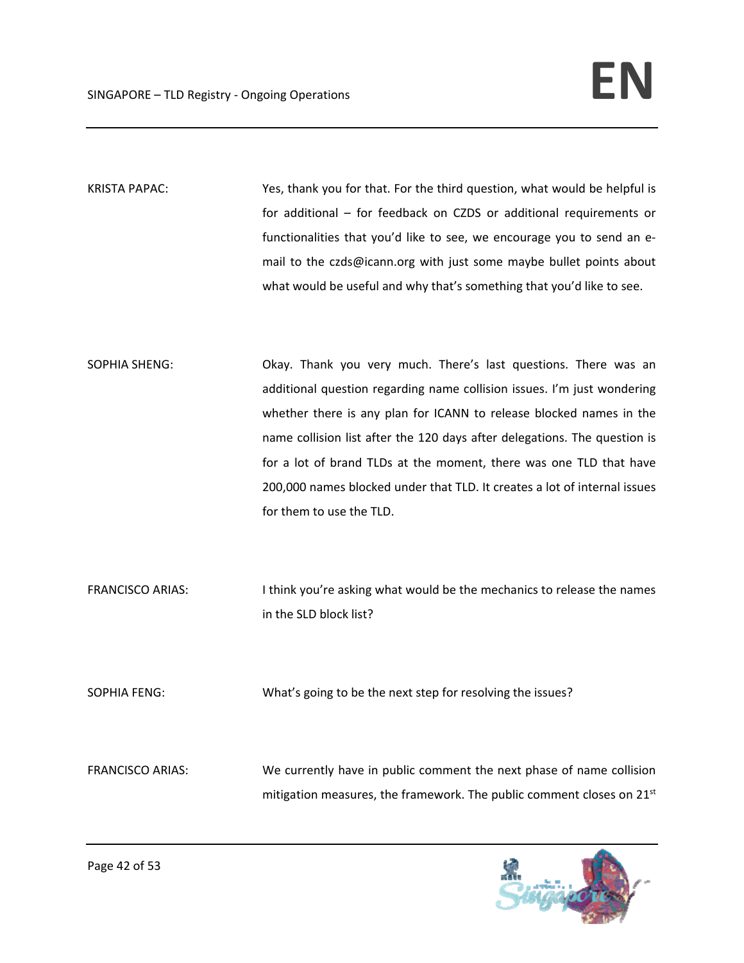KRISTA PAPAC: Yes, thank you for that. For the third question, what would be helpful is for additional – for feedback on CZDS or additional requirements or functionalities that you'd like to see, we encourage you to send an e‐ mail to the czds@icann.org with just some maybe bullet points about what would be useful and why that's something that you'd like to see.

SOPHIA SHENG: Okay. Thank you very much. There's last questions. There was an additional question regarding name collision issues. I'm just wondering whether there is any plan for ICANN to release blocked names in the name collision list after the 120 days after delegations. The question is for a lot of brand TLDs at the moment, there was one TLD that have 200,000 names blocked under that TLD. It creates a lot of internal issues for them to use the TLD.

FRANCISCO ARIAS: I think you're asking what would be the mechanics to release the names in the SLD block list?

SOPHIA FENG: What's going to be the next step for resolving the issues?

FRANCISCO ARIAS: We currently have in public comment the next phase of name collision mitigation measures, the framework. The public comment closes on 21<sup>st</sup>

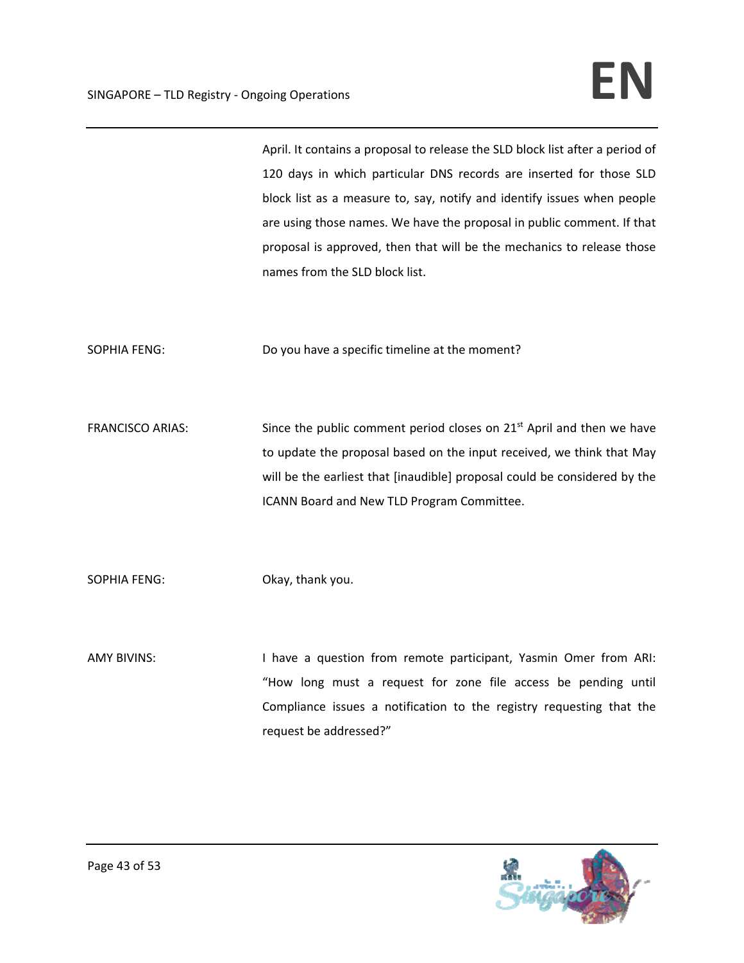April. It contains a proposal to release the SLD block list after a period of 120 days in which particular DNS records are inserted for those SLD block list as a measure to, say, notify and identify issues when people are using those names. We have the proposal in public comment. If that proposal is approved, then that will be the mechanics to release those names from the SLD block list.

SOPHIA FENG: Do you have a specific timeline at the moment?

FRANCISCO ARIAS: Since the public comment period closes on 21<sup>st</sup> April and then we have to update the proposal based on the input received, we think that May will be the earliest that [inaudible] proposal could be considered by the ICANN Board and New TLD Program Committee.

SOPHIA FENG: Okay, thank you.

AMY BIVINS: I have a question from remote participant, Yasmin Omer from ARI: "How long must a request for zone file access be pending until Compliance issues a notification to the registry requesting that the request be addressed?"

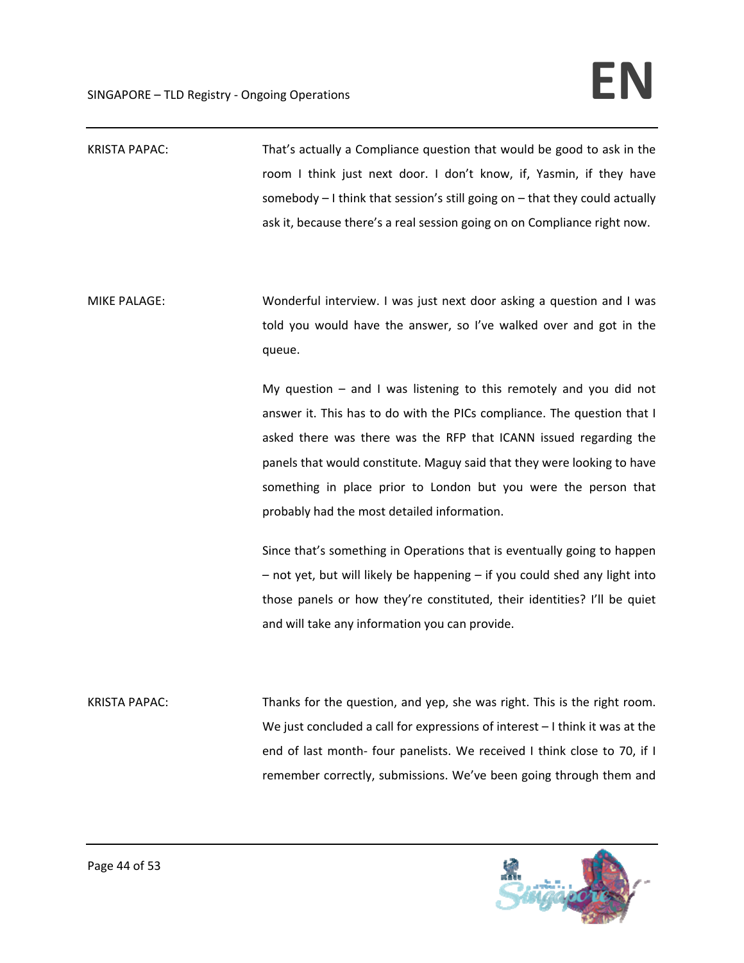| <b>KRISTA PAPAC:</b> | That's actually a Compliance question that would be good to ask in the<br>room I think just next door. I don't know, if, Yasmin, if they have<br>somebody - I think that session's still going on - that they could actually<br>ask it, because there's a real session going on on Compliance right now.                                                                                                          |
|----------------------|-------------------------------------------------------------------------------------------------------------------------------------------------------------------------------------------------------------------------------------------------------------------------------------------------------------------------------------------------------------------------------------------------------------------|
| <b>MIKE PALAGE:</b>  | Wonderful interview. I was just next door asking a question and I was<br>told you would have the answer, so I've walked over and got in the<br>queue.                                                                                                                                                                                                                                                             |
|                      | My question $-$ and I was listening to this remotely and you did not<br>answer it. This has to do with the PICs compliance. The question that I<br>asked there was there was the RFP that ICANN issued regarding the<br>panels that would constitute. Maguy said that they were looking to have<br>something in place prior to London but you were the person that<br>probably had the most detailed information. |
|                      | Since that's something in Operations that is eventually going to happen<br>- not yet, but will likely be happening - if you could shed any light into<br>those panels or how they're constituted, their identities? I'll be quiet<br>and will take any information you can provide.                                                                                                                               |
| <b>KRISTA PAPAC:</b> | Thanks for the question, and yep, she was right. This is the right room.<br>We just concluded a call for expressions of interest $-1$ think it was at the                                                                                                                                                                                                                                                         |



end of last month- four panelists. We received I think close to 70, if I

remember correctly, submissions. We've been going through them and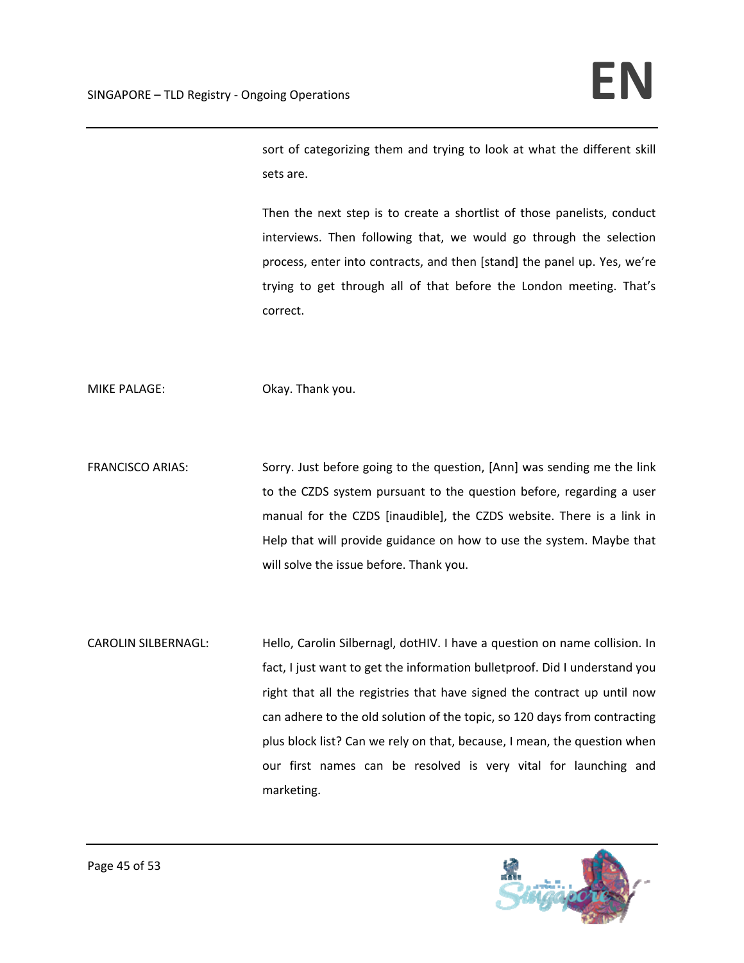sort of categorizing them and trying to look at what the different skill sets are.

Then the next step is to create a shortlist of those panelists, conduct interviews. Then following that, we would go through the selection process, enter into contracts, and then [stand] the panel up. Yes, we're trying to get through all of that before the London meeting. That's correct.

MIKE PALAGE: Okay. Thank you.

FRANCISCO ARIAS: Sorry. Just before going to the question, [Ann] was sending me the link to the CZDS system pursuant to the question before, regarding a user manual for the CZDS [inaudible], the CZDS website. There is a link in Help that will provide guidance on how to use the system. Maybe that will solve the issue before. Thank you.

CAROLIN SILBERNAGL: Hello, Carolin Silbernagl, dotHIV. I have a question on name collision. In fact, I just want to get the information bulletproof. Did I understand you right that all the registries that have signed the contract up until now can adhere to the old solution of the topic, so 120 days from contracting plus block list? Can we rely on that, because, I mean, the question when our first names can be resolved is very vital for launching and marketing.

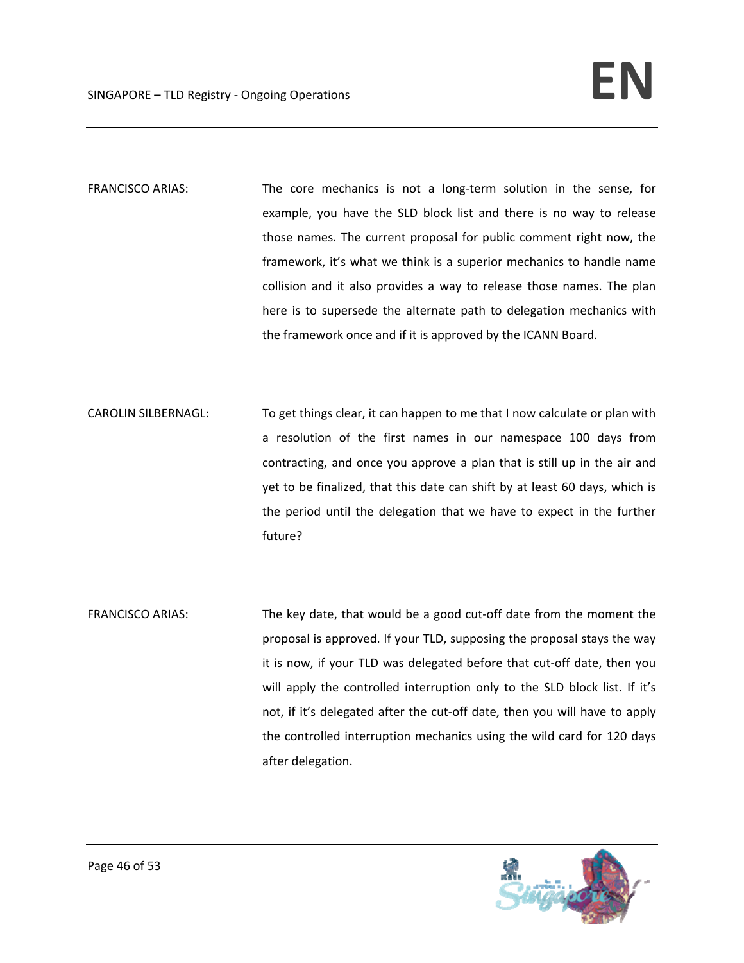- FRANCISCO ARIAS: The core mechanics is not a long-term solution in the sense, for example, you have the SLD block list and there is no way to release those names. The current proposal for public comment right now, the framework, it's what we think is a superior mechanics to handle name collision and it also provides a way to release those names. The plan here is to supersede the alternate path to delegation mechanics with the framework once and if it is approved by the ICANN Board.
- CAROLIN SILBERNAGL: To get things clear, it can happen to me that I now calculate or plan with a resolution of the first names in our namespace 100 days from contracting, and once you approve a plan that is still up in the air and yet to be finalized, that this date can shift by at least 60 days, which is the period until the delegation that we have to expect in the further future?
- FRANCISCO ARIAS: The key date, that would be a good cut-off date from the moment the proposal is approved. If your TLD, supposing the proposal stays the way it is now, if your TLD was delegated before that cut‐off date, then you will apply the controlled interruption only to the SLD block list. If it's not, if it's delegated after the cut‐off date, then you will have to apply the controlled interruption mechanics using the wild card for 120 days after delegation.

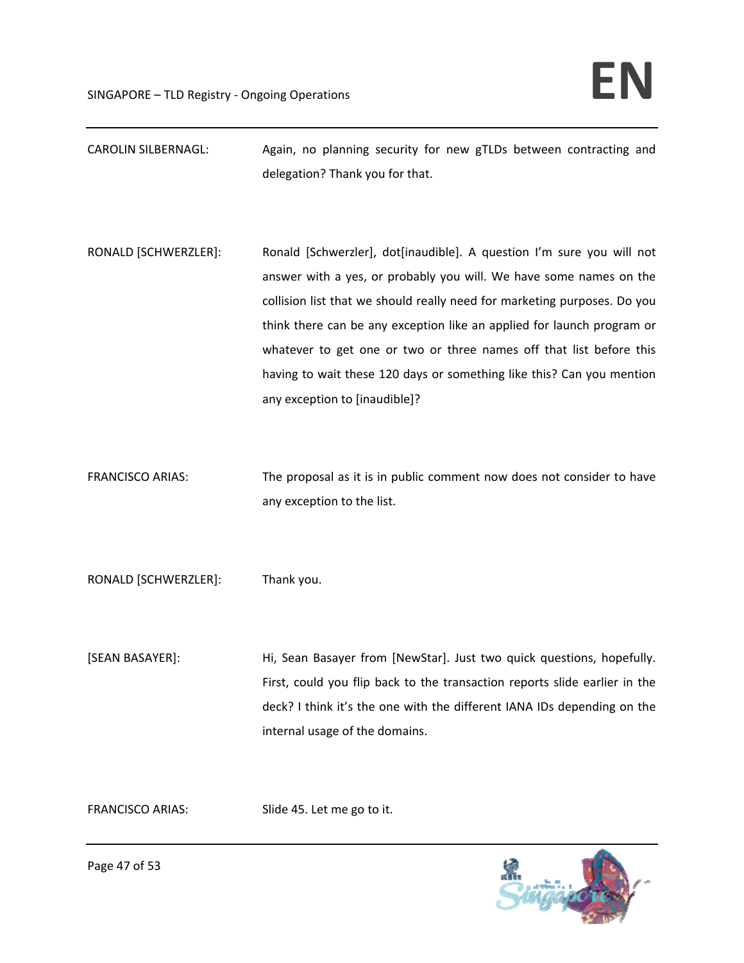- CAROLIN SILBERNAGL: Again, no planning security for new gTLDs between contracting and delegation? Thank you for that.
- RONALD [SCHWERZLER]: Ronald [Schwerzler], dot[inaudible]. A question I'm sure you will not answer with a yes, or probably you will. We have some names on the collision list that we should really need for marketing purposes. Do you think there can be any exception like an applied for launch program or whatever to get one or two or three names off that list before this having to wait these 120 days or something like this? Can you mention any exception to [inaudible]?
- FRANCISCO ARIAS: The proposal as it is in public comment now does not consider to have any exception to the list.

RONALD [SCHWERZLER]: Thank you.

[SEAN BASAYER]: Hi, Sean Basayer from [NewStar]. Just two quick questions, hopefully. First, could you flip back to the transaction reports slide earlier in the deck? I think it's the one with the different IANA IDs depending on the internal usage of the domains.

FRANCISCO ARIAS: Slide 45. Let me go to it.

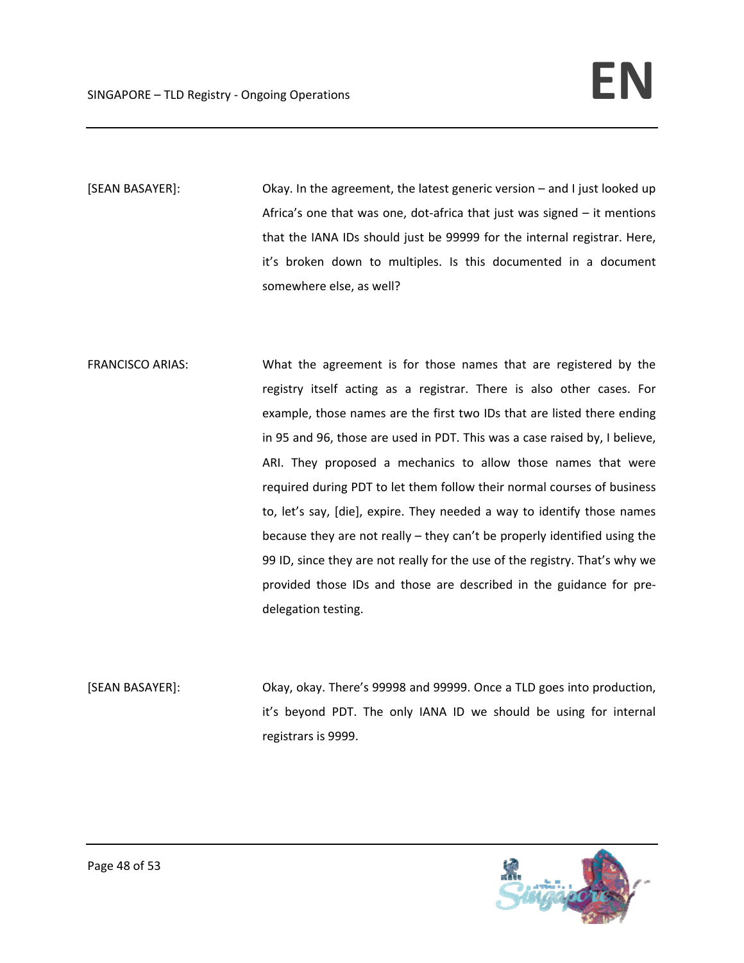[SEAN BASAYER]: Okay. In the agreement, the latest generic version – and I just looked up Africa's one that was one, dot‐africa that just was signed – it mentions that the IANA IDs should just be 99999 for the internal registrar. Here, it's broken down to multiples. Is this documented in a document somewhere else, as well?

- FRANCISCO ARIAS: What the agreement is for those names that are registered by the registry itself acting as a registrar. There is also other cases. For example, those names are the first two IDs that are listed there ending in 95 and 96, those are used in PDT. This was a case raised by, I believe, ARI. They proposed a mechanics to allow those names that were required during PDT to let them follow their normal courses of business to, let's say, [die], expire. They needed a way to identify those names because they are not really – they can't be properly identified using the 99 ID, since they are not really for the use of the registry. That's why we provided those IDs and those are described in the guidance for pre‐ delegation testing.
- [SEAN BASAYER]: Okay, okay. There's 99998 and 99999. Once a TLD goes into production, it's beyond PDT. The only IANA ID we should be using for internal registrars is 9999.

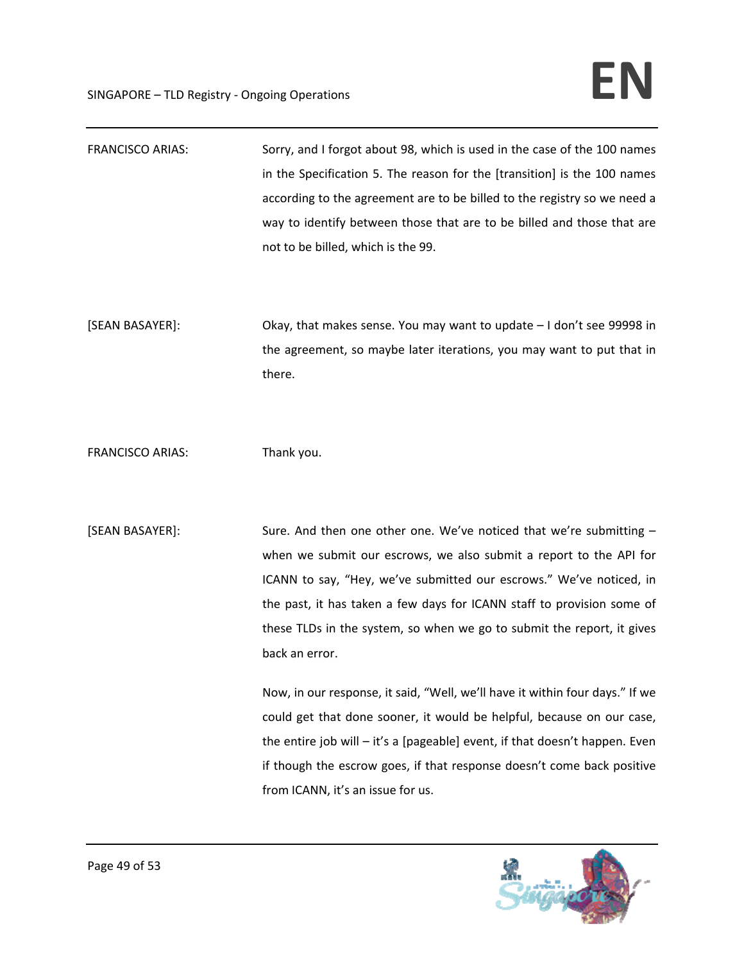| <b>FRANCISCO ARIAS:</b> | Sorry, and I forgot about 98, which is used in the case of the 100 names<br>in the Specification 5. The reason for the [transition] is the 100 names<br>according to the agreement are to be billed to the registry so we need a<br>way to identify between those that are to be billed and those that are<br>not to be billed, which is the 99.                                                                                                                                                                                                                                                                                                                                                                                              |
|-------------------------|-----------------------------------------------------------------------------------------------------------------------------------------------------------------------------------------------------------------------------------------------------------------------------------------------------------------------------------------------------------------------------------------------------------------------------------------------------------------------------------------------------------------------------------------------------------------------------------------------------------------------------------------------------------------------------------------------------------------------------------------------|
| [SEAN BASAYER]:         | Okay, that makes sense. You may want to update - I don't see 99998 in<br>the agreement, so maybe later iterations, you may want to put that in<br>there.                                                                                                                                                                                                                                                                                                                                                                                                                                                                                                                                                                                      |
| <b>FRANCISCO ARIAS:</b> | Thank you.                                                                                                                                                                                                                                                                                                                                                                                                                                                                                                                                                                                                                                                                                                                                    |
| [SEAN BASAYER]:         | Sure. And then one other one. We've noticed that we're submitting -<br>when we submit our escrows, we also submit a report to the API for<br>ICANN to say, "Hey, we've submitted our escrows." We've noticed, in<br>the past, it has taken a few days for ICANN staff to provision some of<br>these TLDs in the system, so when we go to submit the report, it gives<br>back an error.<br>Now, in our response, it said, "Well, we'll have it within four days." If we<br>could get that done sooner, it would be helpful, because on our case,<br>the entire job will - it's a [pageable] event, if that doesn't happen. Even<br>if though the escrow goes, if that response doesn't come back positive<br>from ICANN, it's an issue for us. |

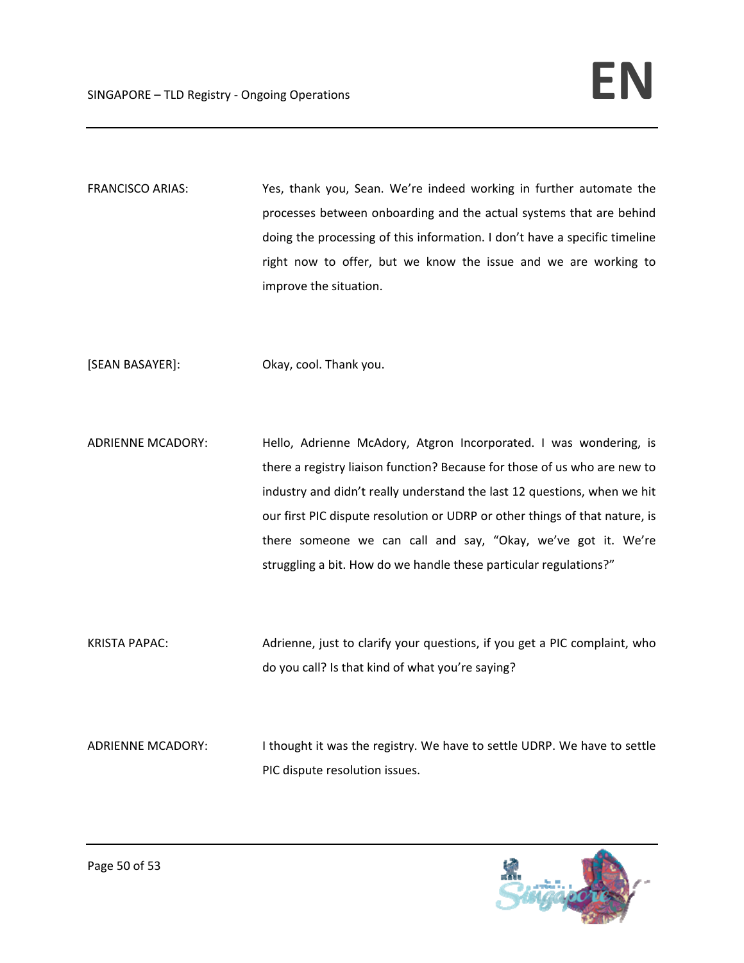FRANCISCO ARIAS: Yes, thank you, Sean. We're indeed working in further automate the processes between onboarding and the actual systems that are behind doing the processing of this information. I don't have a specific timeline right now to offer, but we know the issue and we are working to improve the situation.

[SEAN BASAYER]: Okay, cool. Thank you.

ADRIENNE MCADORY: Hello, Adrienne McAdory, Atgron Incorporated. I was wondering, is there a registry liaison function? Because for those of us who are new to industry and didn't really understand the last 12 questions, when we hit our first PIC dispute resolution or UDRP or other things of that nature, is there someone we can call and say, "Okay, we've got it. We're struggling a bit. How do we handle these particular regulations?"

KRISTA PAPAC: Adrienne, just to clarify your questions, if you get a PIC complaint, who do you call? Is that kind of what you're saying?

ADRIENNE MCADORY: Ithought it was the registry. We have to settle UDRP. We have to settle PIC dispute resolution issues.

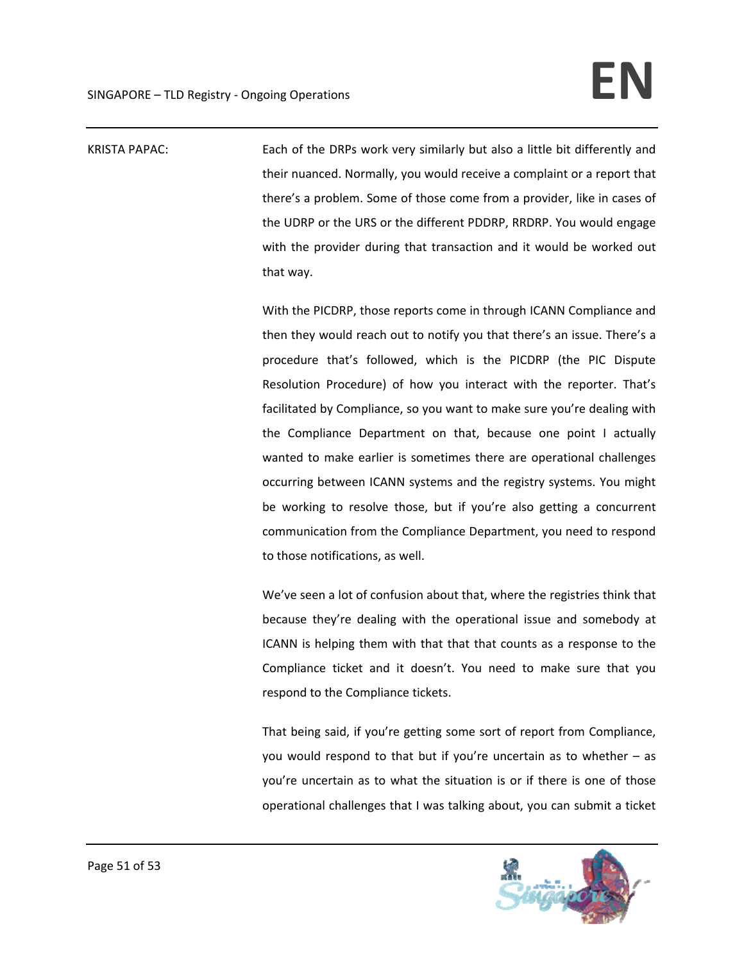KRISTA PAPAC: Each of the DRPs work very similarly but also a little bit differently and their nuanced. Normally, you would receive a complaint or a report that there's a problem. Some of those come from a provider, like in cases of the UDRP or the URS or the different PDDRP, RRDRP. You would engage with the provider during that transaction and it would be worked out that way.

> With the PICDRP, those reports come in through ICANN Compliance and then they would reach out to notify you that there's an issue. There's a procedure that's followed, which is the PICDRP (the PIC Dispute Resolution Procedure) of how you interact with the reporter. That's facilitated by Compliance, so you want to make sure you're dealing with the Compliance Department on that, because one point I actually wanted to make earlier is sometimes there are operational challenges occurring between ICANN systems and the registry systems. You might be working to resolve those, but if you're also getting a concurrent communication from the Compliance Department, you need to respond to those notifications, as well.

> We've seen a lot of confusion about that, where the registries think that because they're dealing with the operational issue and somebody at ICANN is helping them with that that that counts as a response to the Compliance ticket and it doesn't. You need to make sure that you respond to the Compliance tickets.

> That being said, if you're getting some sort of report from Compliance, you would respond to that but if you're uncertain as to whether – as you're uncertain as to what the situation is or if there is one of those operational challenges that I was talking about, you can submit a ticket

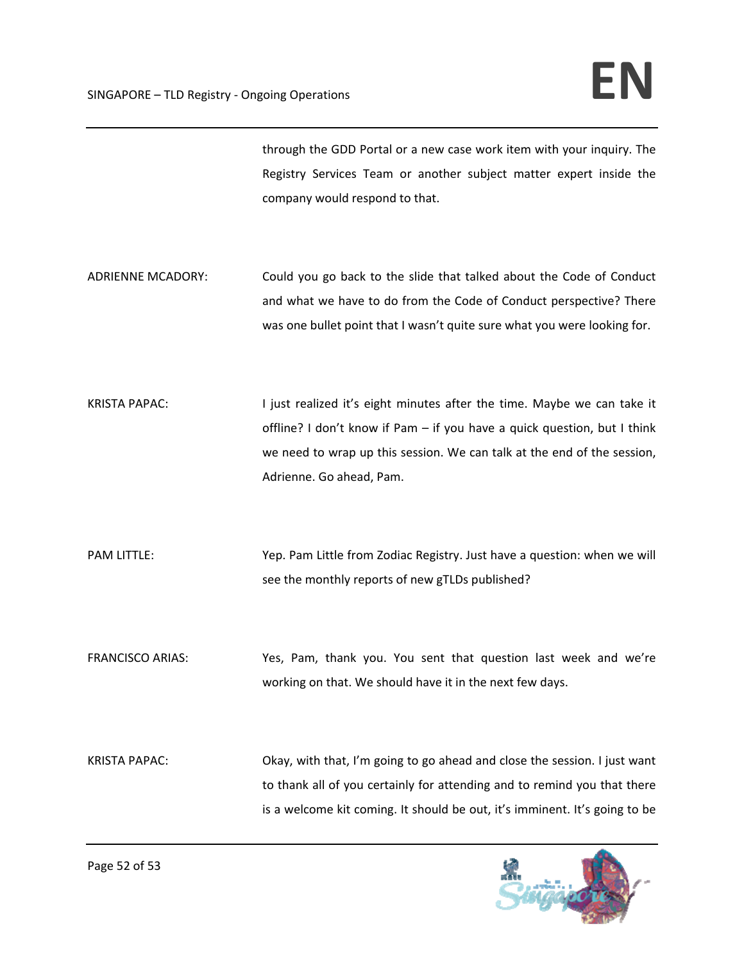through the GDD Portal or a new case work item with your inquiry. The Registry Services Team or another subject matter expert inside the company would respond to that.

- ADRIENNE MCADORY: Could you go back to the slide that talked about the Code of Conduct and what we have to do from the Code of Conduct perspective? There was one bullet point that I wasn't quite sure what you were looking for.
- KRISTA PAPAC: I just realized it's eight minutes after the time. Maybe we can take it offline? I don't know if Pam – if you have a quick question, but I think we need to wrap up this session. We can talk at the end of the session, Adrienne. Go ahead, Pam.

PAM LITTLE: Yep. Pam Little from Zodiac Registry. Just have a question: when we will see the monthly reports of new gTLDs published?

FRANCISCO ARIAS: Yes, Pam, thank you. You sent that question last week and we're working on that. We should have it in the next few days.

KRISTA PAPAC: Okay, with that, I'm going to go ahead and close the session. I just want to thank all of you certainly for attending and to remind you that there is a welcome kit coming. It should be out, it's imminent. It's going to be